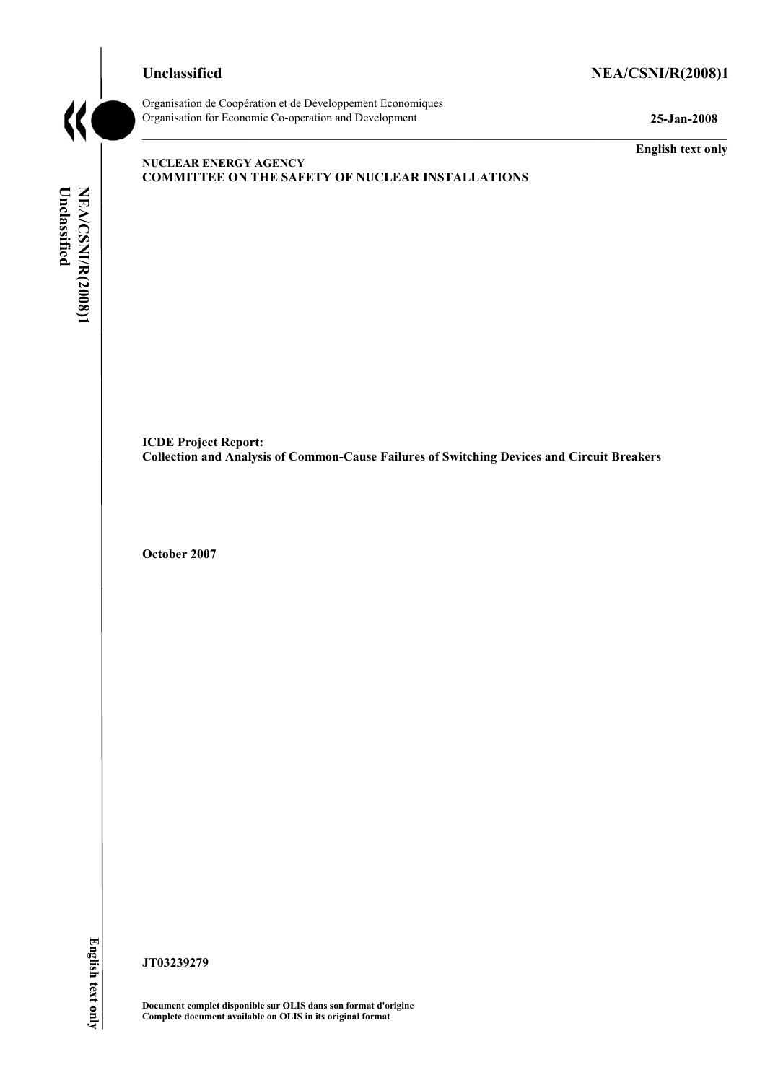# **Unclassified NEA/CSNI/R(2008)1**



Organisation de CoopÈration et de DÈveloppement Economiques Organisation for Economic Co-operation and Development **25-Jan-2008** 

**English text only** 

#### **NUCLEAR ENERGY AGENCY COMMITTEE ON THE SAFETY OF NUCLEAR INSTALLATIONS**

NEA/CSNI/R(2008)1 Unclassified **Unclassified NEA/CSNI/R(2008)1 English text only** 

**ICDE Project Report: Collection and Analysis of Common-Cause Failures of Switching Devices and Circuit Breakers** 

**October 2007** 

English text only

**JT03239279** 

**Document complet disponible sur OLIS dans son format d'origine Complete document available on OLIS in its original format**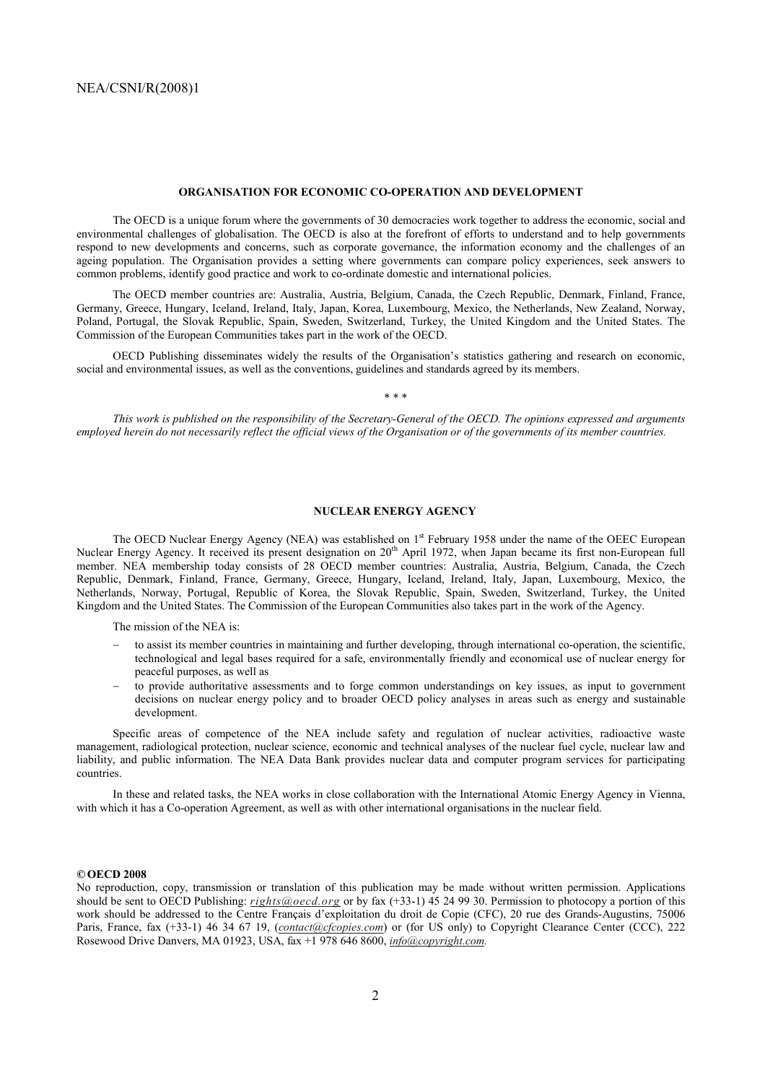#### **ORGANISATION FOR ECONOMIC CO-OPERATION AND DEVELOPMENT**

 The OECD is a unique forum where the governments of 30 democracies work together to address the economic, social and environmental challenges of globalisation. The OECD is also at the forefront of efforts to understand and to help governments respond to new developments and concerns, such as corporate governance, the information economy and the challenges of an ageing population. The Organisation provides a setting where governments can compare policy experiences, seek answers to common problems, identify good practice and work to co-ordinate domestic and international policies.

 The OECD member countries are: Australia, Austria, Belgium, Canada, the Czech Republic, Denmark, Finland, France, Germany, Greece, Hungary, Iceland, Ireland, Italy, Japan, Korea, Luxembourg, Mexico, the Netherlands, New Zealand, Norway, Poland, Portugal, the Slovak Republic, Spain, Sweden, Switzerland, Turkey, the United Kingdom and the United States. The Commission of the European Communities takes part in the work of the OECD.

OECD Publishing disseminates widely the results of the Organisation's statistics gathering and research on economic, social and environmental issues, as well as the conventions, guidelines and standards agreed by its members.

*\* \* \** 

 *This work is published on the responsibility of the Secretary-General of the OECD. The opinions expressed and arguments employed herein do not necessarily reflect the official views of the Organisation or of the governments of its member countries.* 

#### **NUCLEAR ENERGY AGENCY**

The OECD Nuclear Energy Agency (NEA) was established on 1<sup>st</sup> February 1958 under the name of the OEEC European Nuclear Energy Agency. It received its present designation on 20<sup>th</sup> April 1972, when Japan became its first non-European full member. NEA membership today consists of 28 OECD member countries: Australia, Austria, Belgium, Canada, the Czech Republic, Denmark, Finland, France, Germany, Greece, Hungary, Iceland, Ireland, Italy, Japan, Luxembourg, Mexico, the Netherlands, Norway, Portugal, Republic of Korea, the Slovak Republic, Spain, Sweden, Switzerland, Turkey, the United Kingdom and the United States. The Commission of the European Communities also takes part in the work of the Agency.

The mission of the NEA is:

- − to assist its member countries in maintaining and further developing, through international co-operation, the scientific, technological and legal bases required for a safe, environmentally friendly and economical use of nuclear energy for peaceful purposes, as well as
- − to provide authoritative assessments and to forge common understandings on key issues, as input to government decisions on nuclear energy policy and to broader OECD policy analyses in areas such as energy and sustainable development.

 Specific areas of competence of the NEA include safety and regulation of nuclear activities, radioactive waste management, radiological protection, nuclear science, economic and technical analyses of the nuclear fuel cycle, nuclear law and liability, and public information. The NEA Data Bank provides nuclear data and computer program services for participating countries.

 In these and related tasks, the NEA works in close collaboration with the International Atomic Energy Agency in Vienna, with which it has a Co-operation Agreement, as well as with other international organisations in the nuclear field.

#### *©* **OECD 2008**

No reproduction, copy, transmission or translation of this publication may be made without written permission. Applications should be sent to OECD Publishing: *rights@oecd.org* or by fax (+33-1) 45 24 99 30. Permission to photocopy a portion of this work should be addressed to the Centre Français d'exploitation du droit de Copie (CFC), 20 rue des Grands-Augustins, 75006 Paris, France, fax (+33-1) 46 34 67 19, (*contact@cfcopies.com*) or (for US only) to Copyright Clearance Center (CCC), 222 Rosewood Drive Danvers, MA 01923, USA, fax +1 978 646 8600, *info@copyright.com.*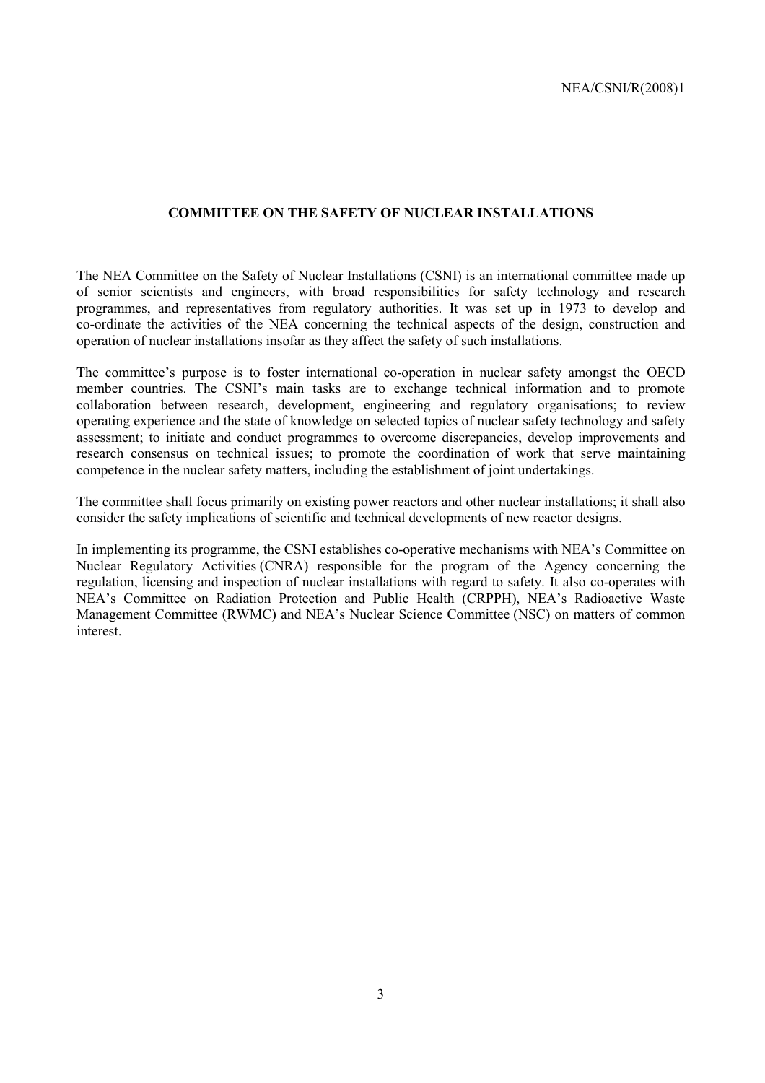#### **COMMITTEE ON THE SAFETY OF NUCLEAR INSTALLATIONS**

The NEA Committee on the Safety of Nuclear Installations (CSNI) is an international committee made up of senior scientists and engineers, with broad responsibilities for safety technology and research programmes, and representatives from regulatory authorities. It was set up in 1973 to develop and co-ordinate the activities of the NEA concerning the technical aspects of the design, construction and operation of nuclear installations insofar as they affect the safety of such installations.

The committee's purpose is to foster international co-operation in nuclear safety amongst the OECD member countries. The CSNI's main tasks are to exchange technical information and to promote collaboration between research, development, engineering and regulatory organisations; to review operating experience and the state of knowledge on selected topics of nuclear safety technology and safety assessment; to initiate and conduct programmes to overcome discrepancies, develop improvements and research consensus on technical issues; to promote the coordination of work that serve maintaining competence in the nuclear safety matters, including the establishment of joint undertakings.

The committee shall focus primarily on existing power reactors and other nuclear installations; it shall also consider the safety implications of scientific and technical developments of new reactor designs.

In implementing its programme, the CSNI establishes co-operative mechanisms with NEA's Committee on Nuclear Regulatory Activities (CNRA) responsible for the program of the Agency concerning the regulation, licensing and inspection of nuclear installations with regard to safety. It also co-operates with NEA's Committee on Radiation Protection and Public Health (CRPPH), NEA's Radioactive Waste Management Committee (RWMC) and NEA's Nuclear Science Committee (NSC) on matters of common interest.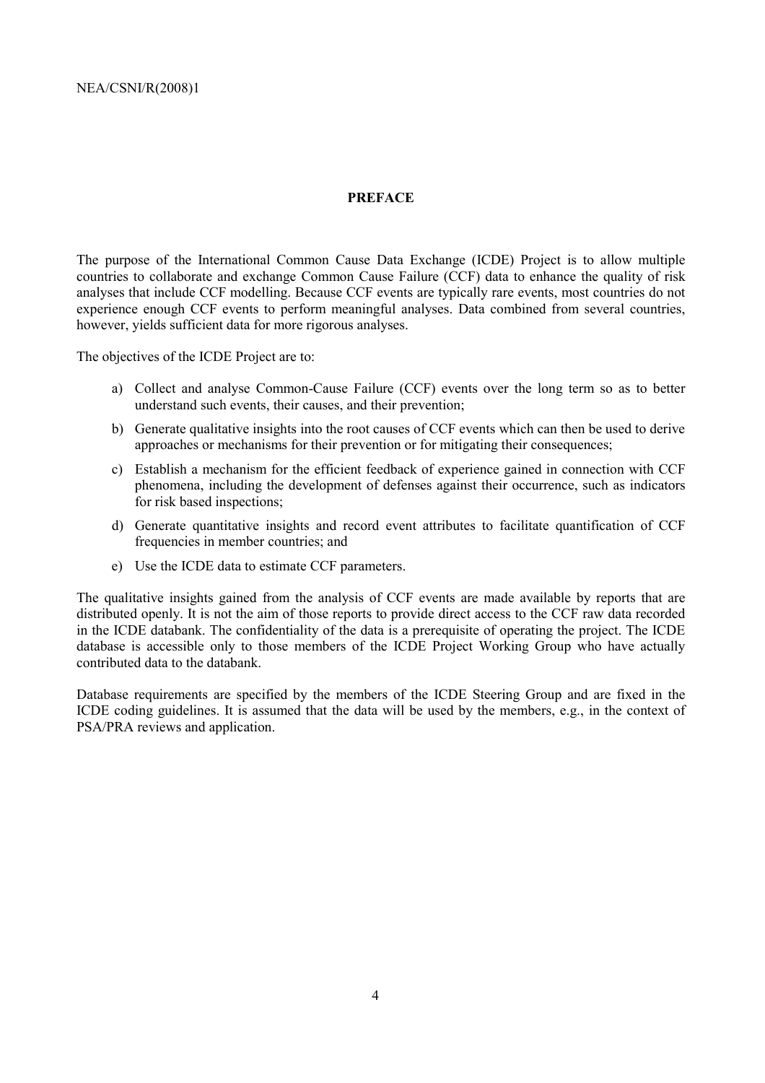#### **PREFACE**

The purpose of the International Common Cause Data Exchange (ICDE) Project is to allow multiple countries to collaborate and exchange Common Cause Failure (CCF) data to enhance the quality of risk analyses that include CCF modelling. Because CCF events are typically rare events, most countries do not experience enough CCF events to perform meaningful analyses. Data combined from several countries, however, yields sufficient data for more rigorous analyses.

The objectives of the ICDE Project are to:

- a) Collect and analyse Common-Cause Failure (CCF) events over the long term so as to better understand such events, their causes, and their prevention;
- b) Generate qualitative insights into the root causes of CCF events which can then be used to derive approaches or mechanisms for their prevention or for mitigating their consequences;
- c) Establish a mechanism for the efficient feedback of experience gained in connection with CCF phenomena, including the development of defenses against their occurrence, such as indicators for risk based inspections;
- d) Generate quantitative insights and record event attributes to facilitate quantification of CCF frequencies in member countries; and
- e) Use the ICDE data to estimate CCF parameters.

The qualitative insights gained from the analysis of CCF events are made available by reports that are distributed openly. It is not the aim of those reports to provide direct access to the CCF raw data recorded in the ICDE databank. The confidentiality of the data is a prerequisite of operating the project. The ICDE database is accessible only to those members of the ICDE Project Working Group who have actually contributed data to the databank.

Database requirements are specified by the members of the ICDE Steering Group and are fixed in the ICDE coding guidelines. It is assumed that the data will be used by the members, e.g., in the context of PSA/PRA reviews and application.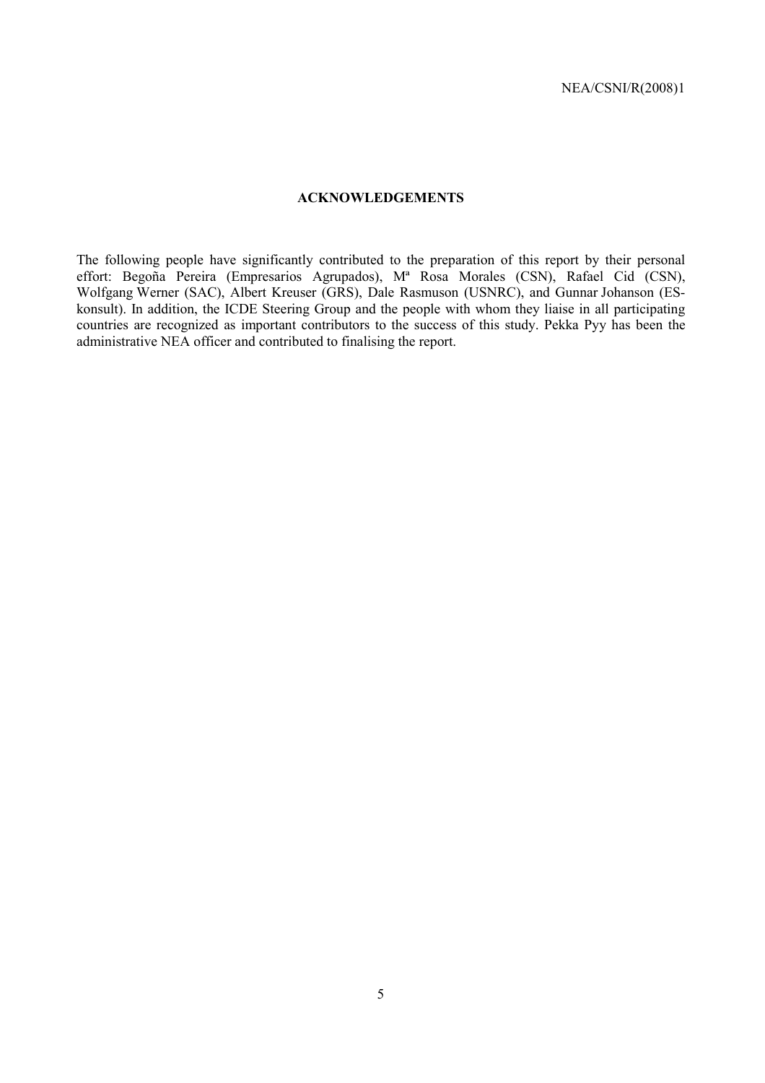#### **ACKNOWLEDGEMENTS**

The following people have significantly contributed to the preparation of this report by their personal effort: Begoña Pereira (Empresarios Agrupados), M<sup>a</sup> Rosa Morales (CSN), Rafael Cid (CSN), Wolfgang Werner (SAC), Albert Kreuser (GRS), Dale Rasmuson (USNRC), and Gunnar Johanson (ESkonsult). In addition, the ICDE Steering Group and the people with whom they liaise in all participating countries are recognized as important contributors to the success of this study. Pekka Pyy has been the administrative NEA officer and contributed to finalising the report.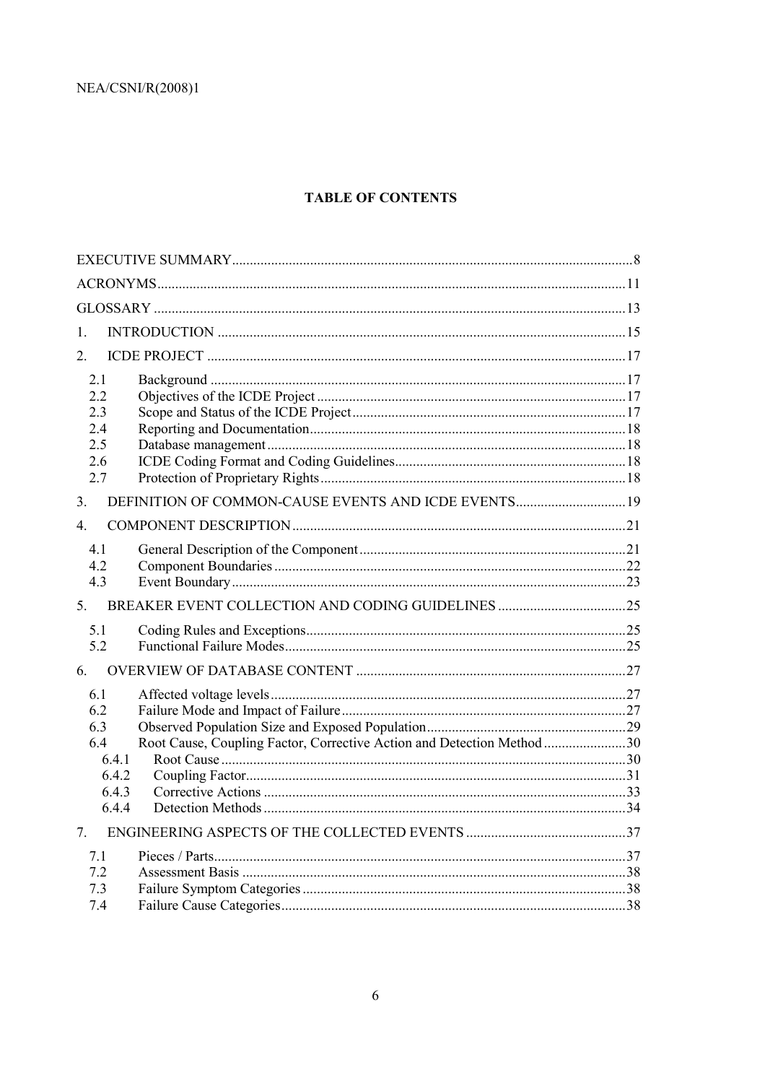### **TABLE OF CONTENTS**

| 1.<br>2.<br>2.1<br>2.2<br>2.3<br>2.4<br>2.5<br>2.6<br>2.7<br>3.<br>$\overline{4}$<br>41<br>4.2<br>4.3<br>5 <sup>7</sup><br>5.1<br>5.2<br>6.<br>61<br>62<br>6.3<br>Root Cause, Coupling Factor, Corrective Action and Detection Method 30<br>6.4<br>6.4.1<br>6.4.2<br>6.4.3<br>6.4.4<br>$7^{\circ}$<br>7.1<br>7.2<br>7.3<br>7.4 |  |  |
|--------------------------------------------------------------------------------------------------------------------------------------------------------------------------------------------------------------------------------------------------------------------------------------------------------------------------------|--|--|
|                                                                                                                                                                                                                                                                                                                                |  |  |
|                                                                                                                                                                                                                                                                                                                                |  |  |
|                                                                                                                                                                                                                                                                                                                                |  |  |
|                                                                                                                                                                                                                                                                                                                                |  |  |
|                                                                                                                                                                                                                                                                                                                                |  |  |
|                                                                                                                                                                                                                                                                                                                                |  |  |
|                                                                                                                                                                                                                                                                                                                                |  |  |
|                                                                                                                                                                                                                                                                                                                                |  |  |
|                                                                                                                                                                                                                                                                                                                                |  |  |
|                                                                                                                                                                                                                                                                                                                                |  |  |
|                                                                                                                                                                                                                                                                                                                                |  |  |
|                                                                                                                                                                                                                                                                                                                                |  |  |
|                                                                                                                                                                                                                                                                                                                                |  |  |
|                                                                                                                                                                                                                                                                                                                                |  |  |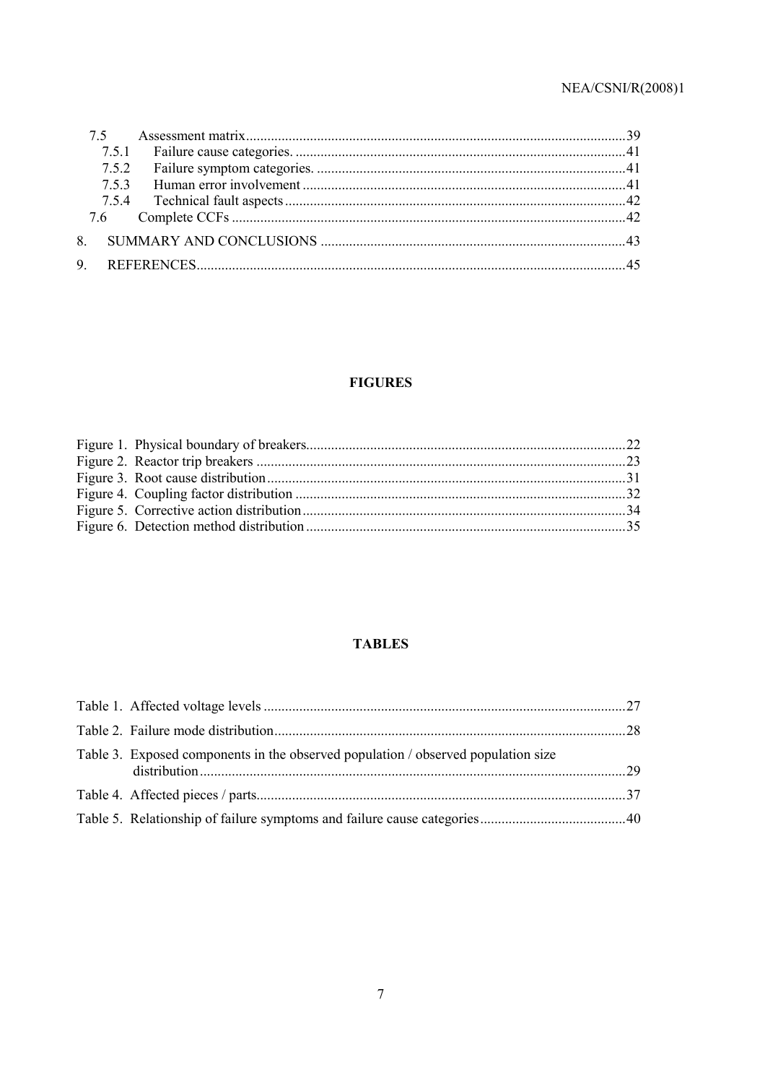| 753 |  |
|-----|--|
|     |  |
|     |  |
|     |  |
|     |  |

# **FIGURES**

### **TABLES**

| Table 3. Exposed components in the observed population / observed population size |  |
|-----------------------------------------------------------------------------------|--|
|                                                                                   |  |
|                                                                                   |  |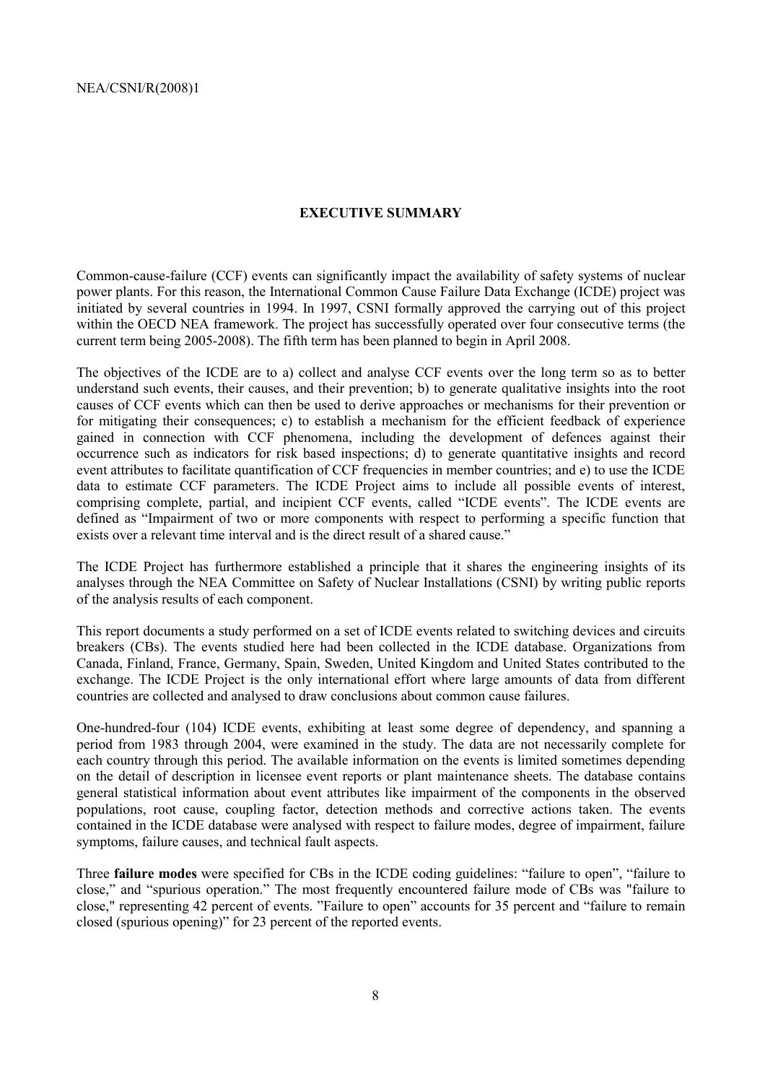#### **EXECUTIVE SUMMARY**

Common-cause-failure (CCF) events can significantly impact the availability of safety systems of nuclear power plants. For this reason, the International Common Cause Failure Data Exchange (ICDE) project was initiated by several countries in 1994. In 1997, CSNI formally approved the carrying out of this project within the OECD NEA framework. The project has successfully operated over four consecutive terms (the current term being 2005-2008). The fifth term has been planned to begin in April 2008.

The objectives of the ICDE are to a) collect and analyse CCF events over the long term so as to better understand such events, their causes, and their prevention; b) to generate qualitative insights into the root causes of CCF events which can then be used to derive approaches or mechanisms for their prevention or for mitigating their consequences; c) to establish a mechanism for the efficient feedback of experience gained in connection with CCF phenomena, including the development of defences against their occurrence such as indicators for risk based inspections; d) to generate quantitative insights and record event attributes to facilitate quantification of CCF frequencies in member countries; and e) to use the ICDE data to estimate CCF parameters. The ICDE Project aims to include all possible events of interest, comprising complete, partial, and incipient CCF events, called "ICDE events". The ICDE events are defined as "Impairment of two or more components with respect to performing a specific function that exists over a relevant time interval and is the direct result of a shared cause."

The ICDE Project has furthermore established a principle that it shares the engineering insights of its analyses through the NEA Committee on Safety of Nuclear Installations (CSNI) by writing public reports of the analysis results of each component.

This report documents a study performed on a set of ICDE events related to switching devices and circuits breakers (CBs). The events studied here had been collected in the ICDE database. Organizations from Canada, Finland, France, Germany, Spain, Sweden, United Kingdom and United States contributed to the exchange. The ICDE Project is the only international effort where large amounts of data from different countries are collected and analysed to draw conclusions about common cause failures.

One-hundred-four (104) ICDE events, exhibiting at least some degree of dependency, and spanning a period from 1983 through 2004, were examined in the study. The data are not necessarily complete for each country through this period. The available information on the events is limited sometimes depending on the detail of description in licensee event reports or plant maintenance sheets. The database contains general statistical information about event attributes like impairment of the components in the observed populations, root cause, coupling factor, detection methods and corrective actions taken. The events contained in the ICDE database were analysed with respect to failure modes, degree of impairment, failure symptoms, failure causes, and technical fault aspects.

Three **failure modes** were specified for CBs in the ICDE coding guidelines: "failure to open", "failure to close," and "spurious operation." The most frequently encountered failure mode of CBs was "failure to close," representing 42 percent of events. "Failure to open" accounts for 35 percent and "failure to remain closed (spurious opening)" for 23 percent of the reported events.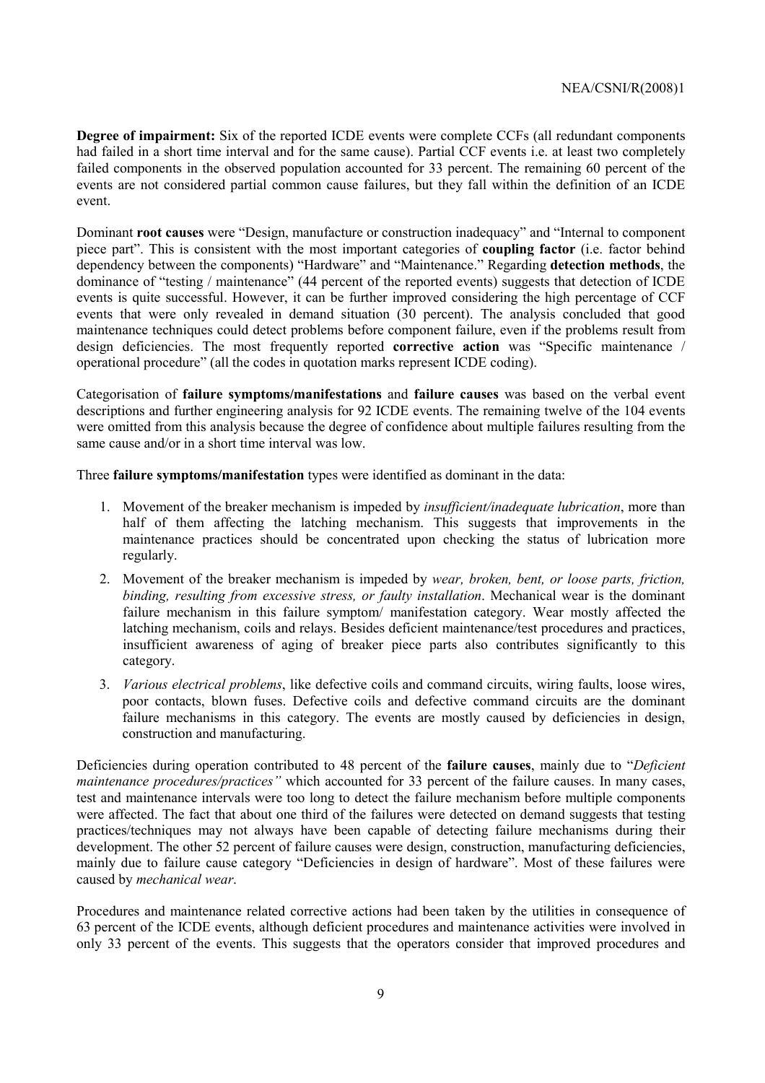**Degree of impairment:** Six of the reported ICDE events were complete CCFs (all redundant components had failed in a short time interval and for the same cause). Partial CCF events i.e. at least two completely failed components in the observed population accounted for 33 percent. The remaining 60 percent of the events are not considered partial common cause failures, but they fall within the definition of an ICDE event.

Dominant **root causes** were "Design, manufacture or construction inadequacy" and "Internal to component piece partî. This is consistent with the most important categories of **coupling factor** (i.e. factor behind dependency between the components) "Hardware" and "Maintenance." Regarding **detection methods**, the dominance of "testing / maintenance" (44 percent of the reported events) suggests that detection of ICDE events is quite successful. However, it can be further improved considering the high percentage of CCF events that were only revealed in demand situation (30 percent). The analysis concluded that good maintenance techniques could detect problems before component failure, even if the problems result from design deficiencies. The most frequently reported **corrective action** was "Specific maintenance / operational procedure" (all the codes in quotation marks represent ICDE coding).

Categorisation of **failure symptoms/manifestations** and **failure causes** was based on the verbal event descriptions and further engineering analysis for 92 ICDE events. The remaining twelve of the 104 events were omitted from this analysis because the degree of confidence about multiple failures resulting from the same cause and/or in a short time interval was low.

Three **failure symptoms/manifestation** types were identified as dominant in the data:

- 1. Movement of the breaker mechanism is impeded by *insufficient/inadequate lubrication*, more than half of them affecting the latching mechanism. This suggests that improvements in the maintenance practices should be concentrated upon checking the status of lubrication more regularly.
- 2. Movement of the breaker mechanism is impeded by *wear, broken, bent, or loose parts, friction, binding, resulting from excessive stress, or faulty installation*. Mechanical wear is the dominant failure mechanism in this failure symptom/ manifestation category. Wear mostly affected the latching mechanism, coils and relays. Besides deficient maintenance/test procedures and practices, insufficient awareness of aging of breaker piece parts also contributes significantly to this category.
- 3. *Various electrical problems*, like defective coils and command circuits, wiring faults, loose wires, poor contacts, blown fuses. Defective coils and defective command circuits are the dominant failure mechanisms in this category. The events are mostly caused by deficiencies in design, construction and manufacturing.

Deficiencies during operation contributed to 48 percent of the **failure causes**, mainly due to *<i><sup><i>Deficient*  $\theta$ </sub></sup> *maintenance procedures/practices*<sup>"</sup> which accounted for 33 percent of the failure causes. In many cases, test and maintenance intervals were too long to detect the failure mechanism before multiple components were affected. The fact that about one third of the failures were detected on demand suggests that testing practices/techniques may not always have been capable of detecting failure mechanisms during their development. The other 52 percent of failure causes were design, construction, manufacturing deficiencies, mainly due to failure cause category "Deficiencies in design of hardware". Most of these failures were caused by *mechanical wear*.

Procedures and maintenance related corrective actions had been taken by the utilities in consequence of 63 percent of the ICDE events, although deficient procedures and maintenance activities were involved in only 33 percent of the events. This suggests that the operators consider that improved procedures and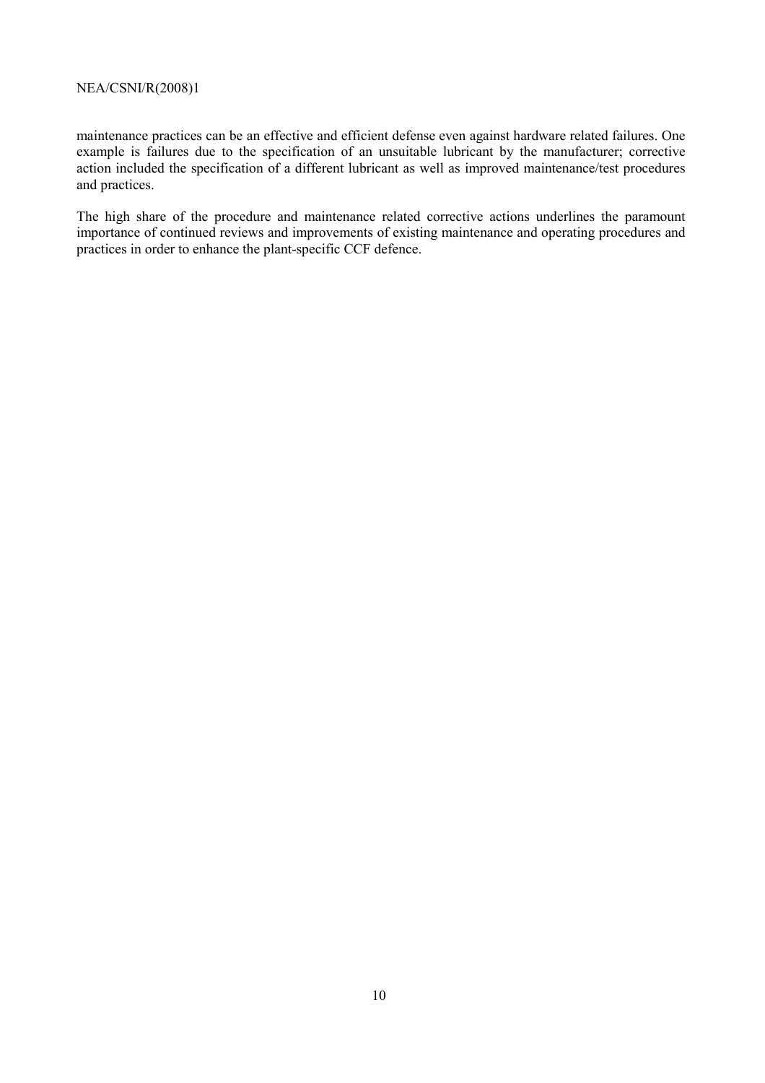maintenance practices can be an effective and efficient defense even against hardware related failures. One example is failures due to the specification of an unsuitable lubricant by the manufacturer; corrective action included the specification of a different lubricant as well as improved maintenance/test procedures and practices.

The high share of the procedure and maintenance related corrective actions underlines the paramount importance of continued reviews and improvements of existing maintenance and operating procedures and practices in order to enhance the plant-specific CCF defence.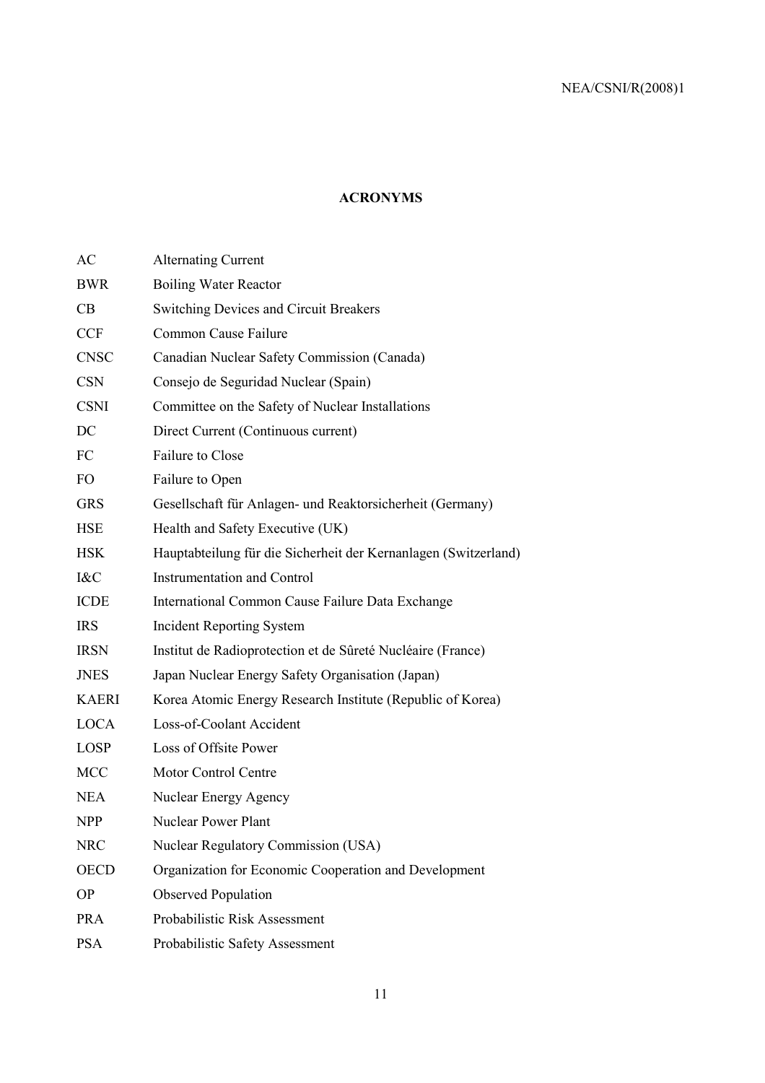### **ACRONYMS**

| <b>Alternating Current</b>                                      |
|-----------------------------------------------------------------|
| <b>Boiling Water Reactor</b>                                    |
| <b>Switching Devices and Circuit Breakers</b>                   |
| Common Cause Failure                                            |
| Canadian Nuclear Safety Commission (Canada)                     |
| Consejo de Seguridad Nuclear (Spain)                            |
| Committee on the Safety of Nuclear Installations                |
| Direct Current (Continuous current)                             |
| <b>Failure to Close</b>                                         |
| Failure to Open                                                 |
| Gesellschaft für Anlagen- und Reaktorsicherheit (Germany)       |
| Health and Safety Executive (UK)                                |
| Hauptabteilung für die Sicherheit der Kernanlagen (Switzerland) |
| <b>Instrumentation and Control</b>                              |
| International Common Cause Failure Data Exchange                |
| <b>Incident Reporting System</b>                                |
| Institut de Radioprotection et de Sûreté Nucléaire (France)     |
| Japan Nuclear Energy Safety Organisation (Japan)                |
| Korea Atomic Energy Research Institute (Republic of Korea)      |
| Loss-of-Coolant Accident                                        |
| Loss of Offsite Power                                           |
| <b>Motor Control Centre</b>                                     |
| Nuclear Energy Agency                                           |
| <b>Nuclear Power Plant</b>                                      |
| Nuclear Regulatory Commission (USA)                             |
| Organization for Economic Cooperation and Development           |
| <b>Observed Population</b>                                      |
| Probabilistic Risk Assessment                                   |
| Probabilistic Safety Assessment                                 |
|                                                                 |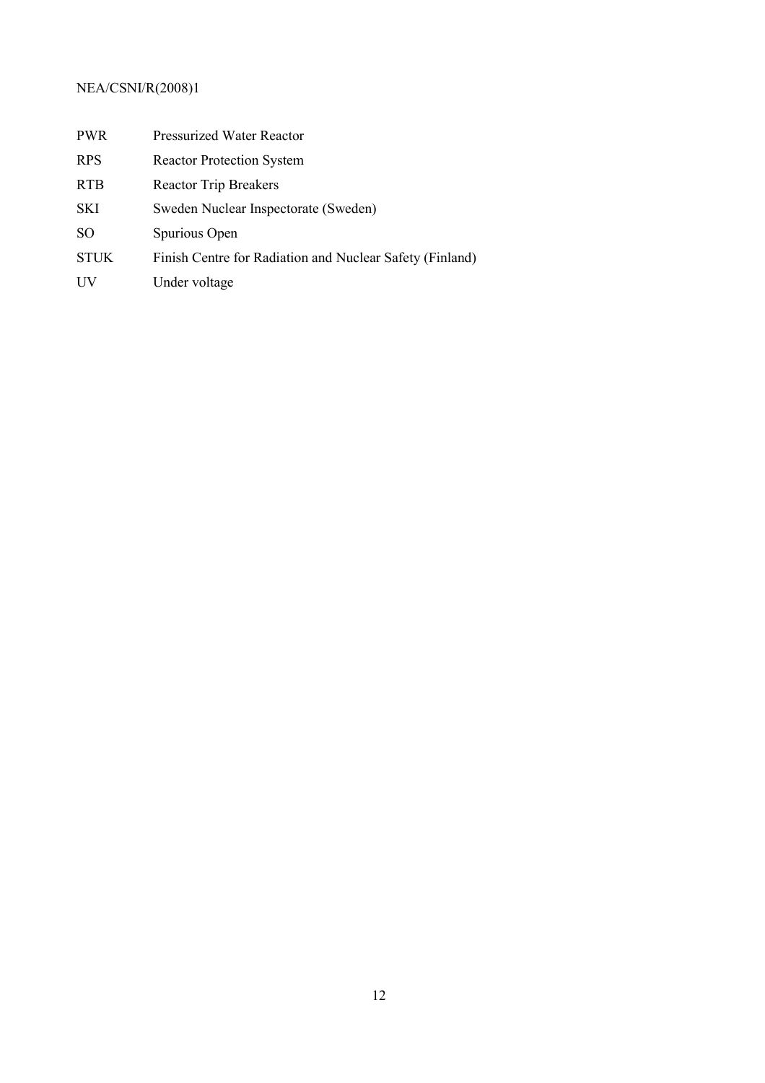| <b>PWR</b>  | <b>Pressurized Water Reactor</b>                         |
|-------------|----------------------------------------------------------|
| <b>RPS</b>  | <b>Reactor Protection System</b>                         |
| <b>RTB</b>  | <b>Reactor Trip Breakers</b>                             |
| <b>SKI</b>  | Sweden Nuclear Inspectorate (Sweden)                     |
| SO.         | Spurious Open                                            |
| <b>STUK</b> | Finish Centre for Radiation and Nuclear Safety (Finland) |
| UV          | Under voltage                                            |
|             |                                                          |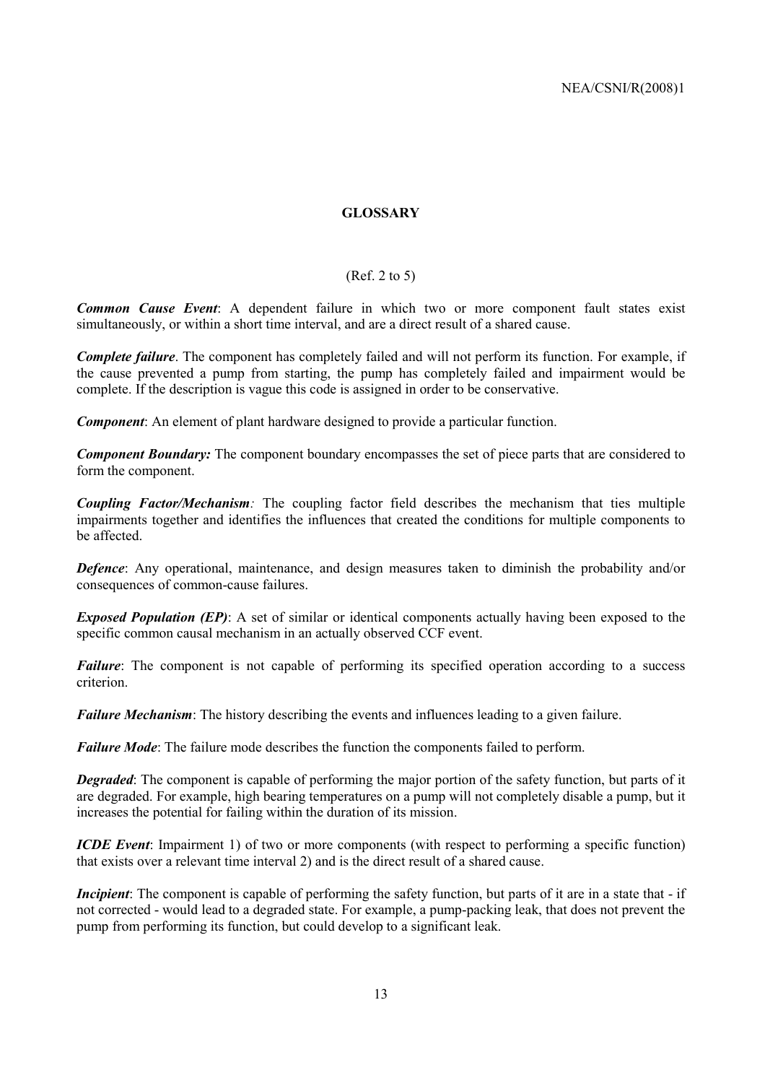#### **GLOSSARY**

#### (Ref. 2 to 5)

*Common Cause Event*: A dependent failure in which two or more component fault states exist simultaneously, or within a short time interval, and are a direct result of a shared cause.

*Complete failure*. The component has completely failed and will not perform its function. For example, if the cause prevented a pump from starting, the pump has completely failed and impairment would be complete. If the description is vague this code is assigned in order to be conservative.

*Component*: An element of plant hardware designed to provide a particular function.

*Component Boundary:* The component boundary encompasses the set of piece parts that are considered to form the component.

*Coupling Factor/Mechanism:* The coupling factor field describes the mechanism that ties multiple impairments together and identifies the influences that created the conditions for multiple components to be affected.

*Defence*: Any operational, maintenance, and design measures taken to diminish the probability and/or consequences of common-cause failures.

*Exposed Population (EP)*: A set of similar or identical components actually having been exposed to the specific common causal mechanism in an actually observed CCF event.

*Failure*: The component is not capable of performing its specified operation according to a success criterion.

*Failure Mechanism*: The history describing the events and influences leading to a given failure.

*Failure Mode*: The failure mode describes the function the components failed to perform.

*Degraded*: The component is capable of performing the major portion of the safety function, but parts of it are degraded. For example, high bearing temperatures on a pump will not completely disable a pump, but it increases the potential for failing within the duration of its mission.

*ICDE Event:* Impairment 1) of two or more components (with respect to performing a specific function) that exists over a relevant time interval 2) and is the direct result of a shared cause.

*Incipient*: The component is capable of performing the safety function, but parts of it are in a state that - if not corrected - would lead to a degraded state. For example, a pump-packing leak, that does not prevent the pump from performing its function, but could develop to a significant leak.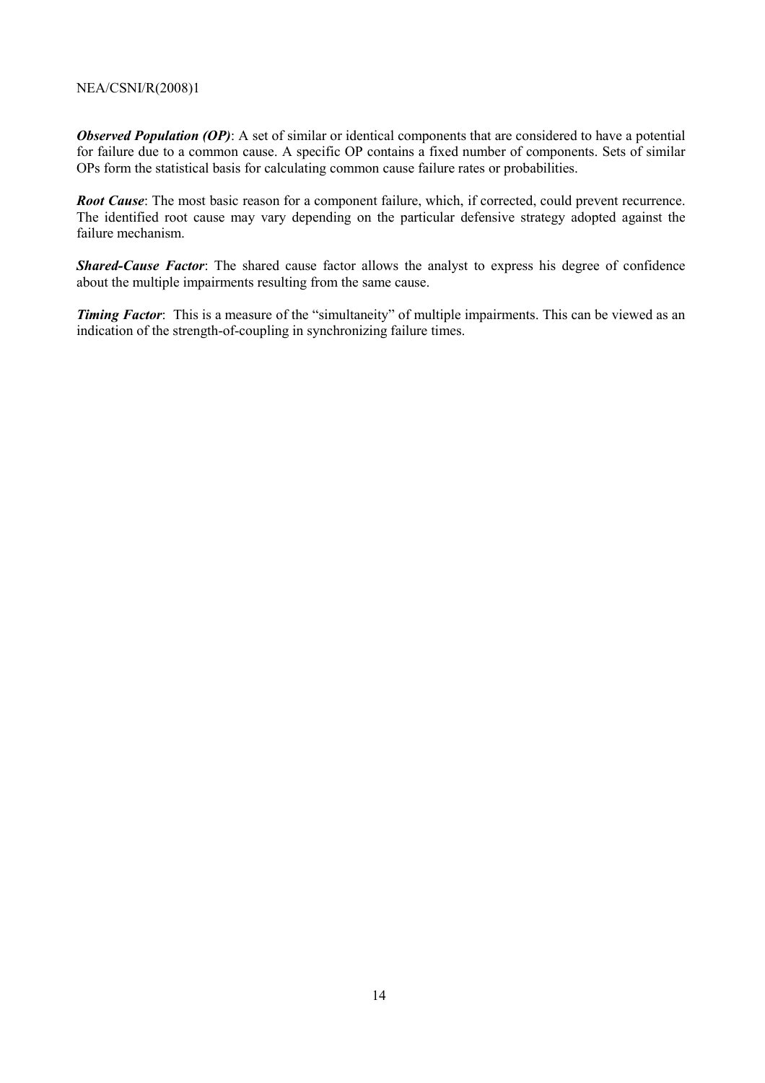*Observed Population (OP)*: A set of similar or identical components that are considered to have a potential for failure due to a common cause. A specific OP contains a fixed number of components. Sets of similar OPs form the statistical basis for calculating common cause failure rates or probabilities.

*Root Cause*: The most basic reason for a component failure, which, if corrected, could prevent recurrence. The identified root cause may vary depending on the particular defensive strategy adopted against the failure mechanism.

*Shared-Cause Factor*: The shared cause factor allows the analyst to express his degree of confidence about the multiple impairments resulting from the same cause.

*Timing Factor*: This is a measure of the "simultaneity" of multiple impairments. This can be viewed as an indication of the strength-of-coupling in synchronizing failure times.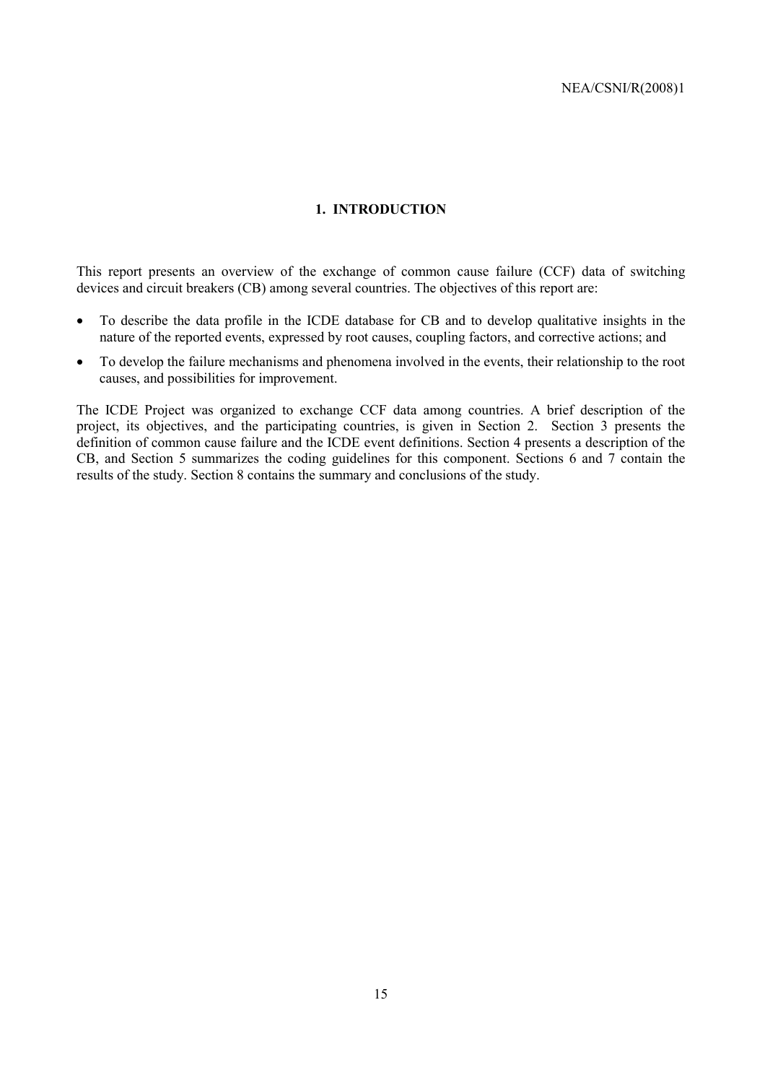#### **1. INTRODUCTION**

This report presents an overview of the exchange of common cause failure (CCF) data of switching devices and circuit breakers (CB) among several countries. The objectives of this report are:

- To describe the data profile in the ICDE database for CB and to develop qualitative insights in the nature of the reported events, expressed by root causes, coupling factors, and corrective actions; and
- To develop the failure mechanisms and phenomena involved in the events, their relationship to the root causes, and possibilities for improvement.

The ICDE Project was organized to exchange CCF data among countries. A brief description of the project, its objectives, and the participating countries, is given in Section 2. Section 3 presents the definition of common cause failure and the ICDE event definitions. Section 4 presents a description of the CB, and Section 5 summarizes the coding guidelines for this component. Sections 6 and 7 contain the results of the study. Section 8 contains the summary and conclusions of the study.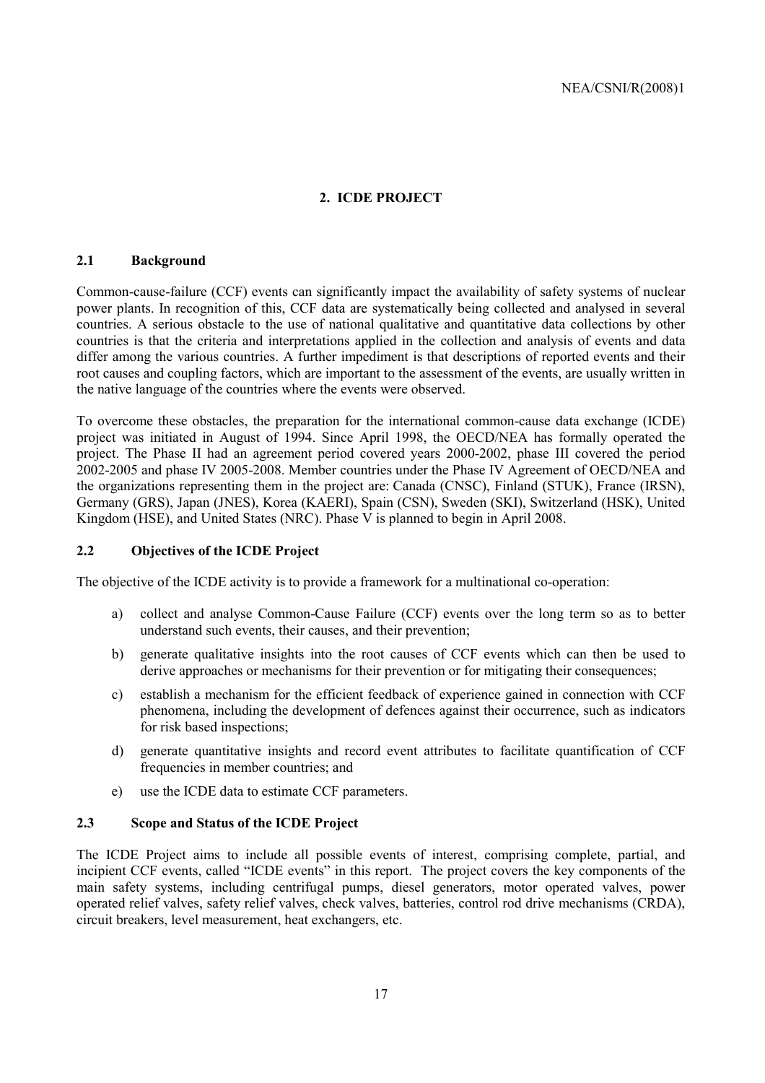### **2. ICDE PROJECT**

#### **2.1 Background**

Common-cause-failure (CCF) events can significantly impact the availability of safety systems of nuclear power plants. In recognition of this, CCF data are systematically being collected and analysed in several countries. A serious obstacle to the use of national qualitative and quantitative data collections by other countries is that the criteria and interpretations applied in the collection and analysis of events and data differ among the various countries. A further impediment is that descriptions of reported events and their root causes and coupling factors, which are important to the assessment of the events, are usually written in the native language of the countries where the events were observed.

To overcome these obstacles, the preparation for the international common-cause data exchange (ICDE) project was initiated in August of 1994. Since April 1998, the OECD/NEA has formally operated the project. The Phase II had an agreement period covered years 2000-2002, phase III covered the period 2002-2005 and phase IV 2005-2008. Member countries under the Phase IV Agreement of OECD/NEA and the organizations representing them in the project are: Canada (CNSC), Finland (STUK), France (IRSN), Germany (GRS), Japan (JNES), Korea (KAERI), Spain (CSN), Sweden (SKI), Switzerland (HSK), United Kingdom (HSE), and United States (NRC). Phase V is planned to begin in April 2008.

#### **2.2 Objectives of the ICDE Project**

The objective of the ICDE activity is to provide a framework for a multinational co-operation:

- a) collect and analyse Common-Cause Failure (CCF) events over the long term so as to better understand such events, their causes, and their prevention;
- b) generate qualitative insights into the root causes of CCF events which can then be used to derive approaches or mechanisms for their prevention or for mitigating their consequences;
- c) establish a mechanism for the efficient feedback of experience gained in connection with CCF phenomena, including the development of defences against their occurrence, such as indicators for risk based inspections;
- d) generate quantitative insights and record event attributes to facilitate quantification of CCF frequencies in member countries; and
- e) use the ICDE data to estimate CCF parameters.

#### **2.3 Scope and Status of the ICDE Project**

The ICDE Project aims to include all possible events of interest, comprising complete, partial, and incipient CCF events, called "ICDE events" in this report. The project covers the key components of the main safety systems, including centrifugal pumps, diesel generators, motor operated valves, power operated relief valves, safety relief valves, check valves, batteries, control rod drive mechanisms (CRDA), circuit breakers, level measurement, heat exchangers, etc.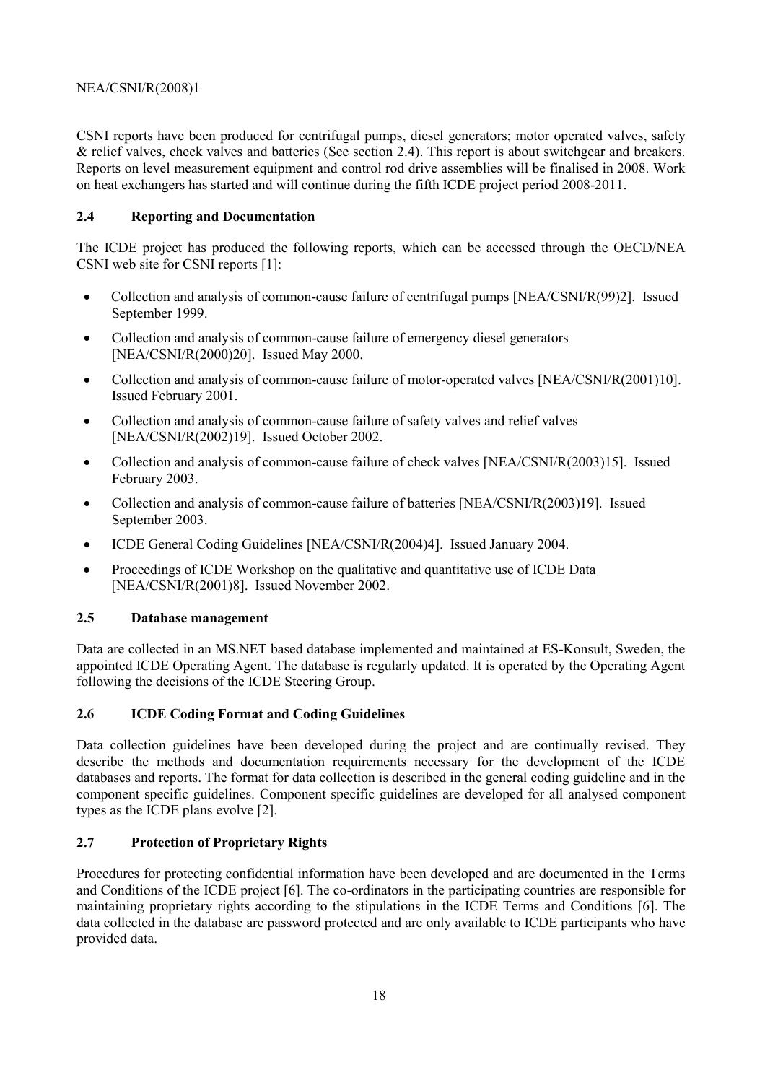CSNI reports have been produced for centrifugal pumps, diesel generators; motor operated valves, safety & relief valves, check valves and batteries (See section 2.4). This report is about switchgear and breakers. Reports on level measurement equipment and control rod drive assemblies will be finalised in 2008. Work on heat exchangers has started and will continue during the fifth ICDE project period 2008-2011.

#### **2.4 Reporting and Documentation**

The ICDE project has produced the following reports, which can be accessed through the OECD/NEA CSNI web site for CSNI reports [1]:

- Collection and analysis of common-cause failure of centrifugal pumps [NEA/CSNI/R(99)2]. Issued September 1999.
- Collection and analysis of common-cause failure of emergency diesel generators [NEA/CSNI/R(2000)20]. Issued May 2000.
- Collection and analysis of common-cause failure of motor-operated valves [NEA/CSNI/R(2001)10]. Issued February 2001.
- Collection and analysis of common-cause failure of safety valves and relief valves [NEA/CSNI/R(2002)19]. Issued October 2002.
- Collection and analysis of common-cause failure of check valves [NEA/CSNI/R(2003)15]. Issued February 2003.
- Collection and analysis of common-cause failure of batteries [NEA/CSNI/R(2003)19]. Issued September 2003.
- ICDE General Coding Guidelines [NEA/CSNI/R(2004)4]. Issued January 2004.
- Proceedings of ICDE Workshop on the qualitative and quantitative use of ICDE Data [NEA/CSNI/R(2001)8]. Issued November 2002.

#### **2.5 Database management**

Data are collected in an MS.NET based database implemented and maintained at ES-Konsult, Sweden, the appointed ICDE Operating Agent. The database is regularly updated. It is operated by the Operating Agent following the decisions of the ICDE Steering Group.

#### **2.6 ICDE Coding Format and Coding Guidelines**

Data collection guidelines have been developed during the project and are continually revised. They describe the methods and documentation requirements necessary for the development of the ICDE databases and reports. The format for data collection is described in the general coding guideline and in the component specific guidelines. Component specific guidelines are developed for all analysed component types as the ICDE plans evolve [2].

#### **2.7 Protection of Proprietary Rights**

Procedures for protecting confidential information have been developed and are documented in the Terms and Conditions of the ICDE project [6]. The co-ordinators in the participating countries are responsible for maintaining proprietary rights according to the stipulations in the ICDE Terms and Conditions [6]. The data collected in the database are password protected and are only available to ICDE participants who have provided data.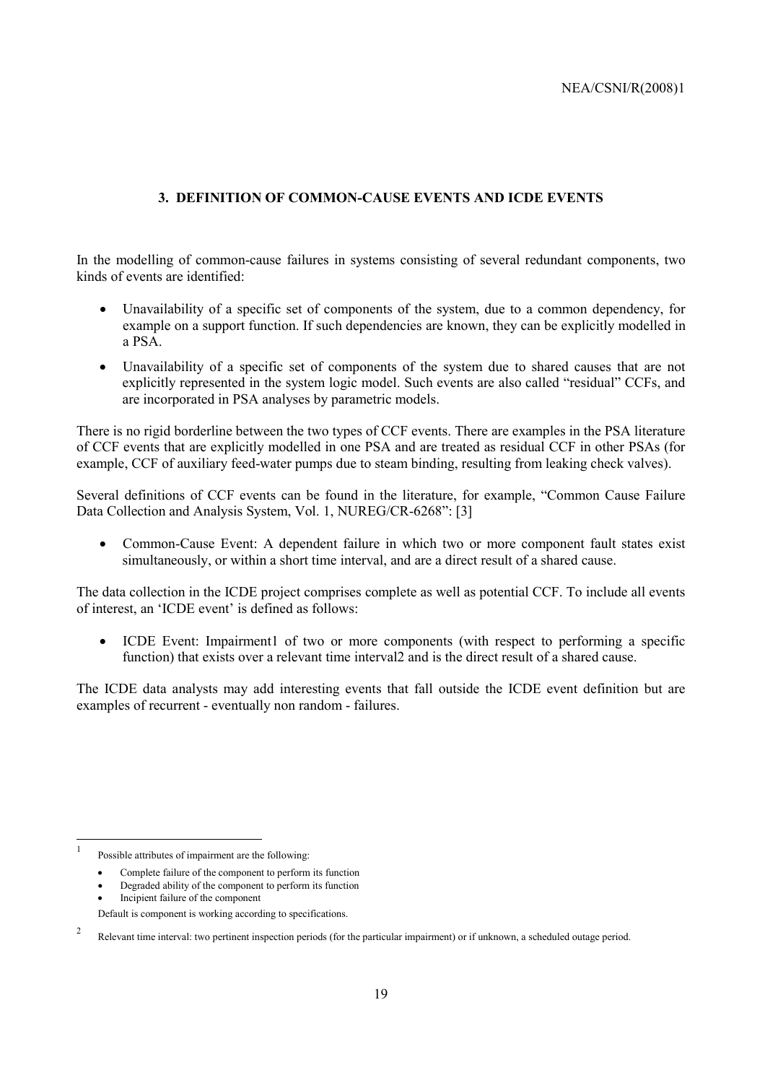#### **3. DEFINITION OF COMMON-CAUSE EVENTS AND ICDE EVENTS**

In the modelling of common-cause failures in systems consisting of several redundant components, two kinds of events are identified:

- Unavailability of a specific set of components of the system, due to a common dependency, for example on a support function. If such dependencies are known, they can be explicitly modelled in a PSA.
- Unavailability of a specific set of components of the system due to shared causes that are not explicitly represented in the system logic model. Such events are also called "residual" CCFs, and are incorporated in PSA analyses by parametric models.

There is no rigid borderline between the two types of CCF events. There are examples in the PSA literature of CCF events that are explicitly modelled in one PSA and are treated as residual CCF in other PSAs (for example, CCF of auxiliary feed-water pumps due to steam binding, resulting from leaking check valves).

Several definitions of CCF events can be found in the literature, for example, "Common Cause Failure Data Collection and Analysis System, Vol. 1, NUREG/CR-6268": [3]

• Common-Cause Event: A dependent failure in which two or more component fault states exist simultaneously, or within a short time interval, and are a direct result of a shared cause.

The data collection in the ICDE project comprises complete as well as potential CCF. To include all events of interest, an 'ICDE event' is defined as follows:

• ICDE Event: Impairment1 of two or more components (with respect to performing a specific function) that exists over a relevant time interval 2 and is the direct result of a shared cause.

The ICDE data analysts may add interesting events that fall outside the ICDE event definition but are examples of recurrent - eventually non random - failures.

 $\mathbf{1}$ Possible attributes of impairment are the following:

<sup>•</sup> Complete failure of the component to perform its function

<sup>•</sup> Degraded ability of the component to perform its function

<sup>•</sup> Incipient failure of the component

Default is component is working according to specifications.

<sup>2</sup> Relevant time interval: two pertinent inspection periods (for the particular impairment) or if unknown, a scheduled outage period.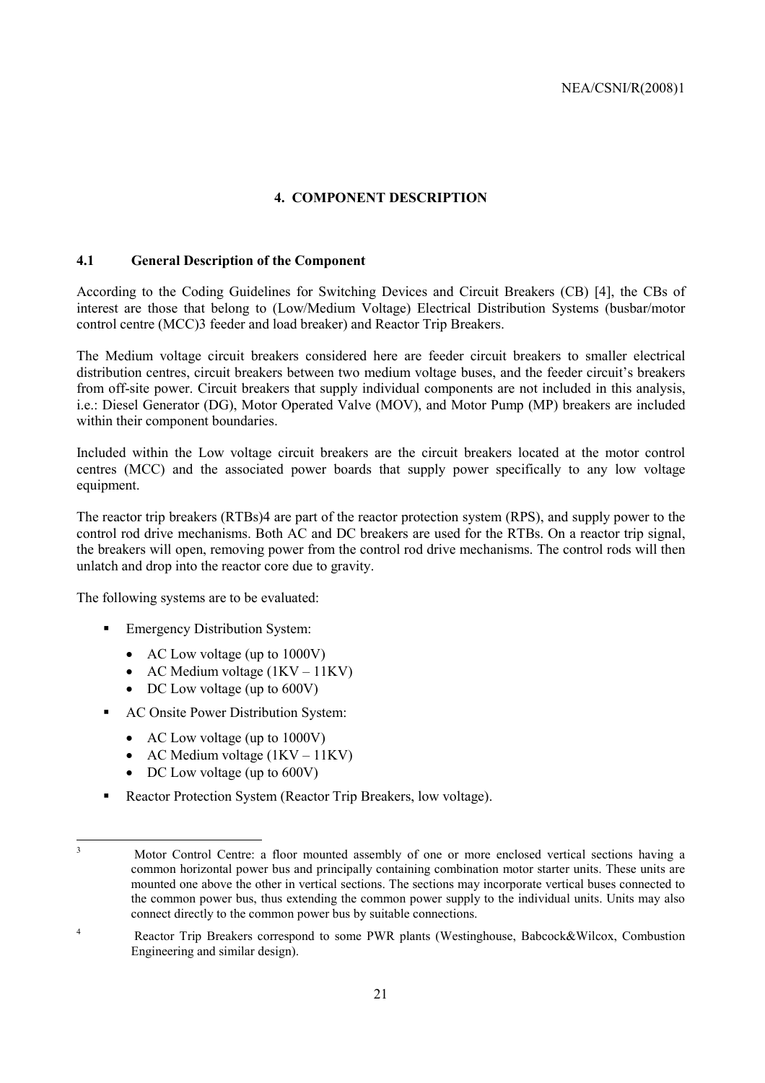#### **4. COMPONENT DESCRIPTION**

#### **4.1 General Description of the Component**

According to the Coding Guidelines for Switching Devices and Circuit Breakers (CB) [4], the CBs of interest are those that belong to (Low/Medium Voltage) Electrical Distribution Systems (busbar/motor control centre (MCC)3 feeder and load breaker) and Reactor Trip Breakers.

The Medium voltage circuit breakers considered here are feeder circuit breakers to smaller electrical distribution centres, circuit breakers between two medium voltage buses, and the feeder circuit's breakers from off-site power. Circuit breakers that supply individual components are not included in this analysis, i.e.: Diesel Generator (DG), Motor Operated Valve (MOV), and Motor Pump (MP) breakers are included within their component boundaries.

Included within the Low voltage circuit breakers are the circuit breakers located at the motor control centres (MCC) and the associated power boards that supply power specifically to any low voltage equipment.

The reactor trip breakers (RTBs)4 are part of the reactor protection system (RPS), and supply power to the control rod drive mechanisms. Both AC and DC breakers are used for the RTBs. On a reactor trip signal, the breakers will open, removing power from the control rod drive mechanisms. The control rods will then unlatch and drop into the reactor core due to gravity.

The following systems are to be evaluated:

- **Emergency Distribution System:** 
	- AC Low voltage (up to 1000V)
	- AC Medium voltage  $(1KV 11KV)$
	- DC Low voltage (up to 600V)
- ! AC Onsite Power Distribution System:
	- AC Low voltage (up to 1000V)
	- AC Medium voltage  $(1KV 11KV)$
	- DC Low voltage (up to 600V)
- ! Reactor Protection System (Reactor Trip Breakers, low voltage).

 3

Motor Control Centre: a floor mounted assembly of one or more enclosed vertical sections having a common horizontal power bus and principally containing combination motor starter units. These units are mounted one above the other in vertical sections. The sections may incorporate vertical buses connected to the common power bus, thus extending the common power supply to the individual units. Units may also connect directly to the common power bus by suitable connections.

<sup>4</sup> Reactor Trip Breakers correspond to some PWR plants (Westinghouse, Babcock&Wilcox, Combustion Engineering and similar design).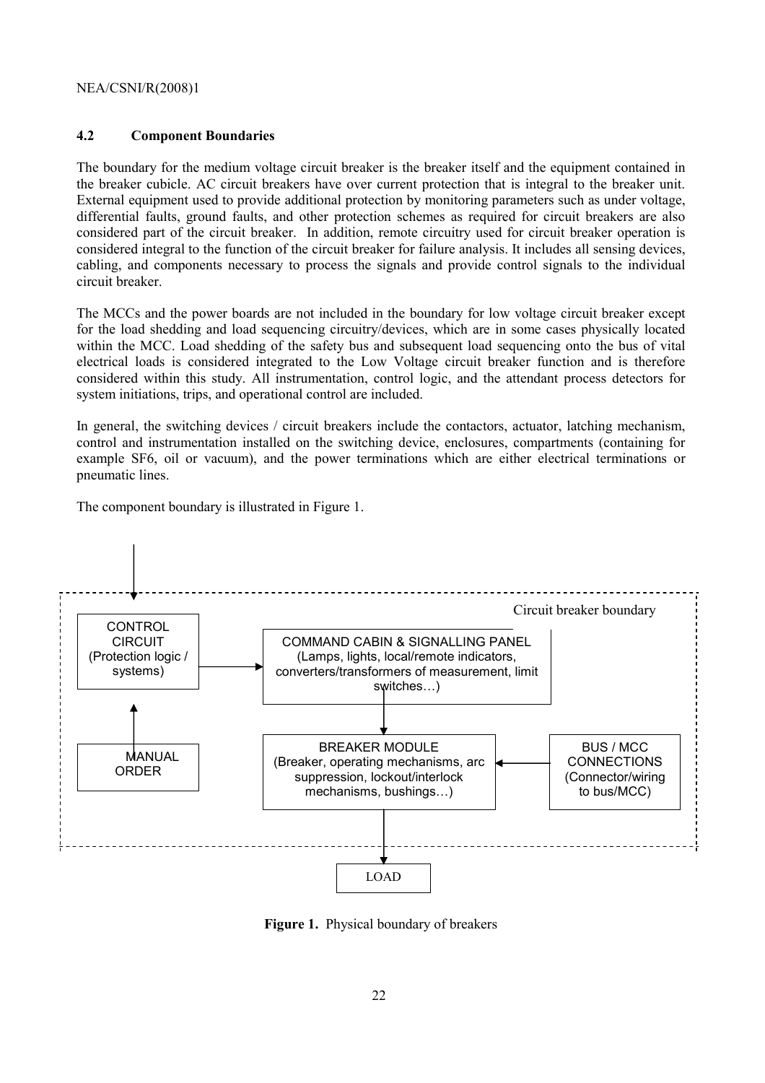### **4.2 Component Boundaries**

The boundary for the medium voltage circuit breaker is the breaker itself and the equipment contained in the breaker cubicle. AC circuit breakers have over current protection that is integral to the breaker unit. External equipment used to provide additional protection by monitoring parameters such as under voltage, differential faults, ground faults, and other protection schemes as required for circuit breakers are also considered part of the circuit breaker. In addition, remote circuitry used for circuit breaker operation is considered integral to the function of the circuit breaker for failure analysis. It includes all sensing devices, cabling, and components necessary to process the signals and provide control signals to the individual circuit breaker.

The MCCs and the power boards are not included in the boundary for low voltage circuit breaker except for the load shedding and load sequencing circuitry/devices, which are in some cases physically located within the MCC. Load shedding of the safety bus and subsequent load sequencing onto the bus of vital electrical loads is considered integrated to the Low Voltage circuit breaker function and is therefore considered within this study. All instrumentation, control logic, and the attendant process detectors for system initiations, trips, and operational control are included.

In general, the switching devices / circuit breakers include the contactors, actuator, latching mechanism, control and instrumentation installed on the switching device, enclosures, compartments (containing for example SF6, oil or vacuum), and the power terminations which are either electrical terminations or pneumatic lines.

The component boundary is illustrated in Figure 1.



**Figure 1.** Physical boundary of breakers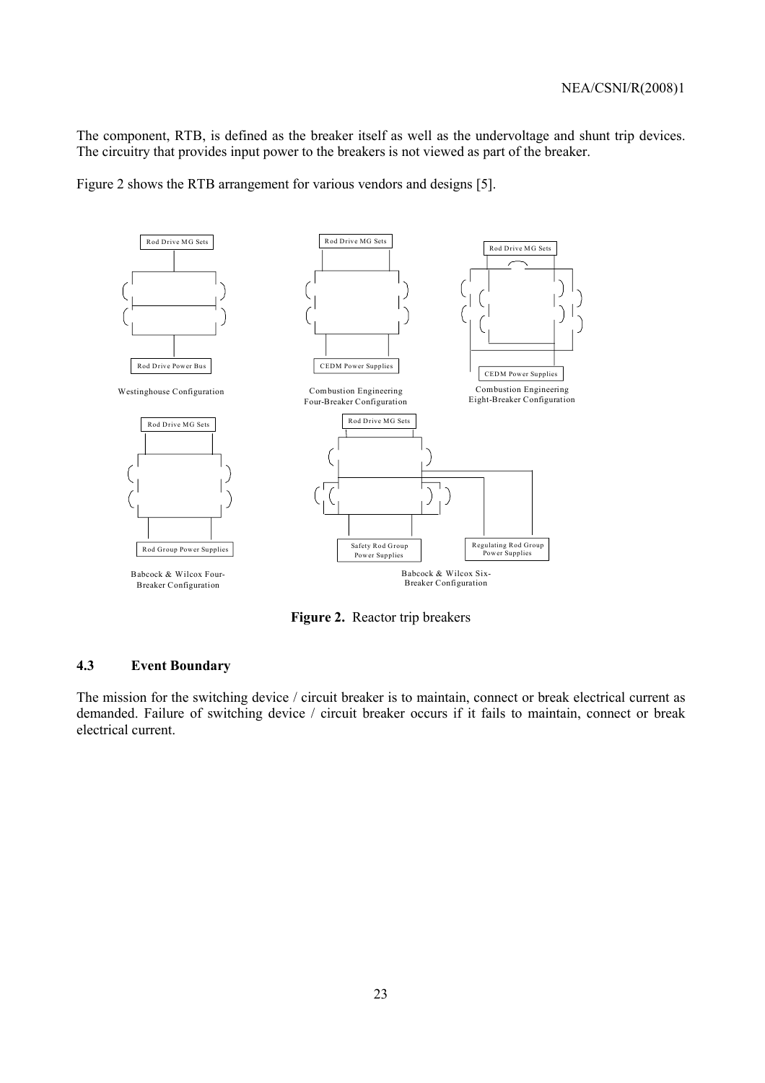The component, RTB, is defined as the breaker itself as well as the undervoltage and shunt trip devices. The circuitry that provides input power to the breakers is not viewed as part of the breaker.

Figure 2 shows the RTB arrangement for various vendors and designs [5].



**Figure 2.** Reactor trip breakers

#### **4.3 Event Boundary**

The mission for the switching device / circuit breaker is to maintain, connect or break electrical current as demanded. Failure of switching device / circuit breaker occurs if it fails to maintain, connect or break electrical current.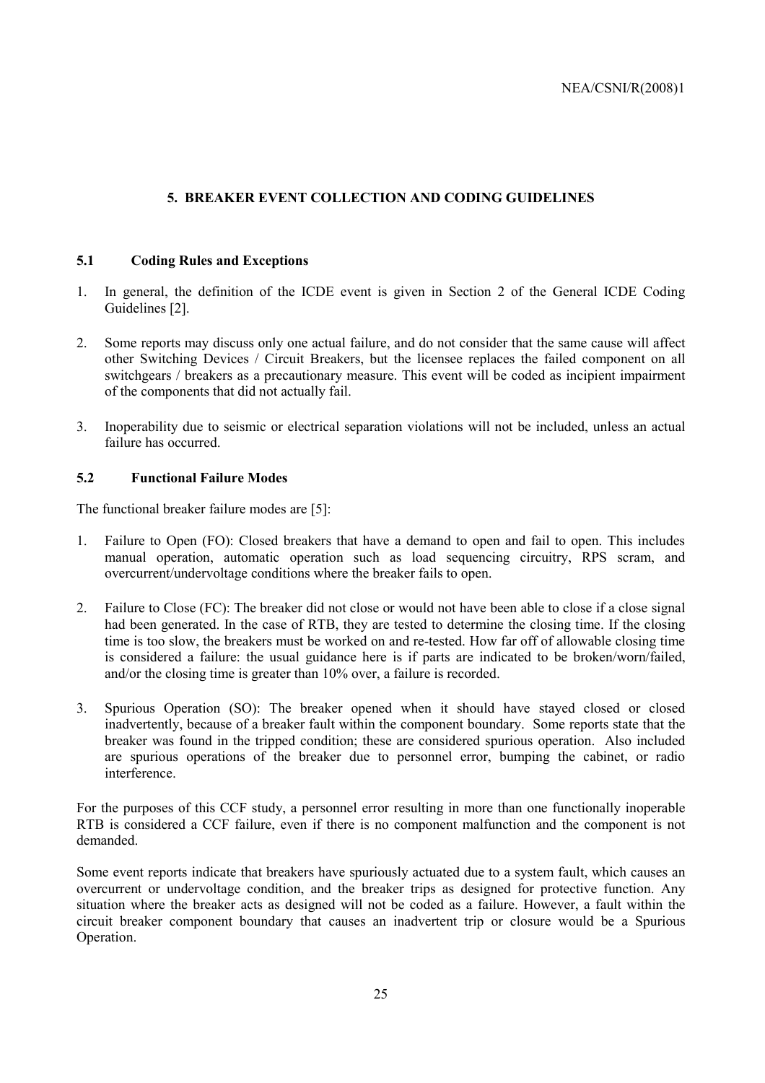#### **5. BREAKER EVENT COLLECTION AND CODING GUIDELINES**

#### **5.1 Coding Rules and Exceptions**

- 1. In general, the definition of the ICDE event is given in Section 2 of the General ICDE Coding Guidelines [2].
- 2. Some reports may discuss only one actual failure, and do not consider that the same cause will affect other Switching Devices / Circuit Breakers, but the licensee replaces the failed component on all switchgears / breakers as a precautionary measure. This event will be coded as incipient impairment of the components that did not actually fail.
- 3. Inoperability due to seismic or electrical separation violations will not be included, unless an actual failure has occurred.

#### **5.2 Functional Failure Modes**

The functional breaker failure modes are [5]:

- 1. Failure to Open (FO): Closed breakers that have a demand to open and fail to open. This includes manual operation, automatic operation such as load sequencing circuitry, RPS scram, and overcurrent/undervoltage conditions where the breaker fails to open.
- 2. Failure to Close (FC): The breaker did not close or would not have been able to close if a close signal had been generated. In the case of RTB, they are tested to determine the closing time. If the closing time is too slow, the breakers must be worked on and re-tested. How far off of allowable closing time is considered a failure: the usual guidance here is if parts are indicated to be broken/worn/failed, and/or the closing time is greater than 10% over, a failure is recorded.
- 3. Spurious Operation (SO): The breaker opened when it should have stayed closed or closed inadvertently, because of a breaker fault within the component boundary. Some reports state that the breaker was found in the tripped condition; these are considered spurious operation. Also included are spurious operations of the breaker due to personnel error, bumping the cabinet, or radio **interference**

For the purposes of this CCF study, a personnel error resulting in more than one functionally inoperable RTB is considered a CCF failure, even if there is no component malfunction and the component is not demanded.

Some event reports indicate that breakers have spuriously actuated due to a system fault, which causes an overcurrent or undervoltage condition, and the breaker trips as designed for protective function. Any situation where the breaker acts as designed will not be coded as a failure. However, a fault within the circuit breaker component boundary that causes an inadvertent trip or closure would be a Spurious Operation.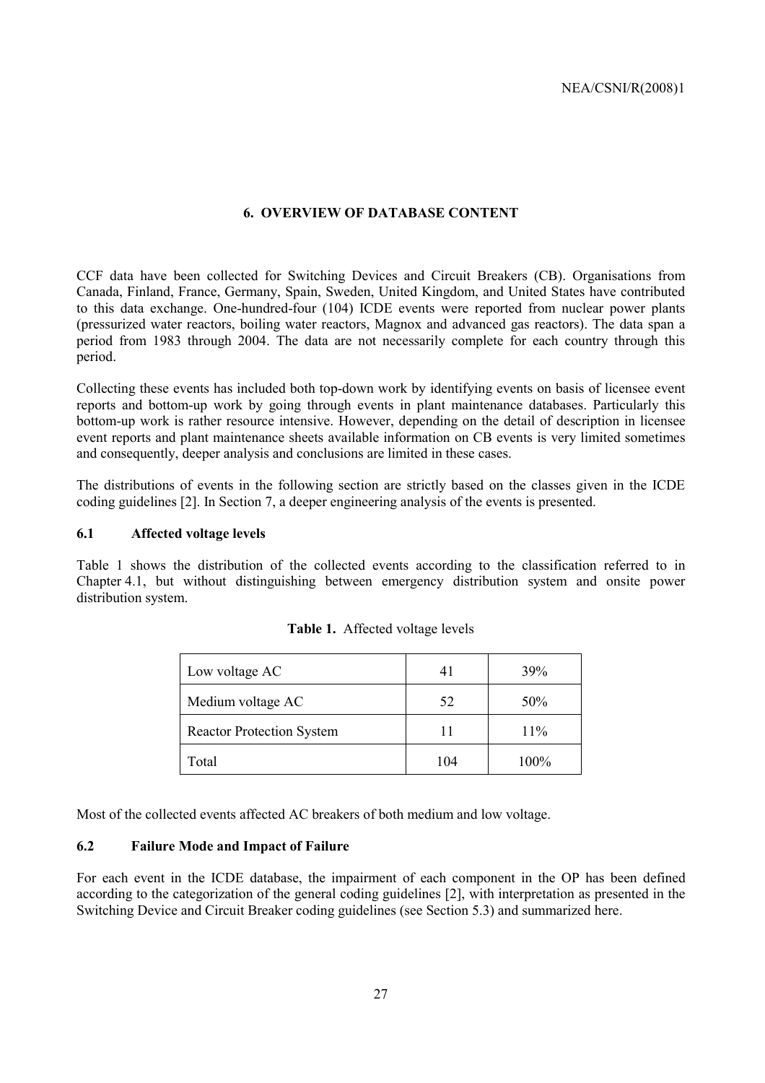#### **6. OVERVIEW OF DATABASE CONTENT**

CCF data have been collected for Switching Devices and Circuit Breakers (CB). Organisations from Canada, Finland, France, Germany, Spain, Sweden, United Kingdom, and United States have contributed to this data exchange. One-hundred-four (104) ICDE events were reported from nuclear power plants (pressurized water reactors, boiling water reactors, Magnox and advanced gas reactors). The data span a period from 1983 through 2004. The data are not necessarily complete for each country through this period.

Collecting these events has included both top-down work by identifying events on basis of licensee event reports and bottom-up work by going through events in plant maintenance databases. Particularly this bottom-up work is rather resource intensive. However, depending on the detail of description in licensee event reports and plant maintenance sheets available information on CB events is very limited sometimes and consequently, deeper analysis and conclusions are limited in these cases.

The distributions of events in the following section are strictly based on the classes given in the ICDE coding guidelines [2]. In Section 7, a deeper engineering analysis of the events is presented.

#### **6.1 Affected voltage levels**

Table 1 shows the distribution of the collected events according to the classification referred to in Chapter 4.1, but without distinguishing between emergency distribution system and onsite power distribution system.

| Low voltage AC                   | 41  | 39%  |  |
|----------------------------------|-----|------|--|
| Medium voltage AC                | 52  | 50%  |  |
| <b>Reactor Protection System</b> |     | 11%  |  |
| Total                            | 104 | 100% |  |

| Table 1. Affected voltage levels |  |
|----------------------------------|--|
|----------------------------------|--|

Most of the collected events affected AC breakers of both medium and low voltage.

#### **6.2 Failure Mode and Impact of Failure**

For each event in the ICDE database, the impairment of each component in the OP has been defined according to the categorization of the general coding guidelines [2], with interpretation as presented in the Switching Device and Circuit Breaker coding guidelines (see Section 5.3) and summarized here.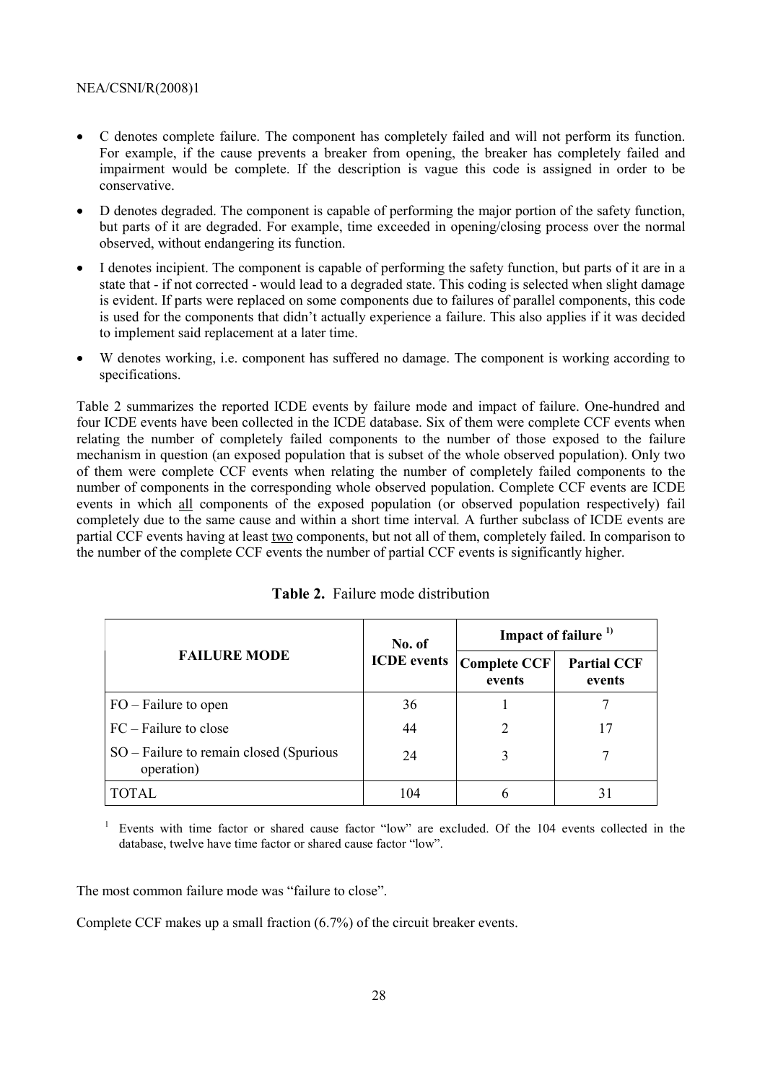- C denotes complete failure. The component has completely failed and will not perform its function. For example, if the cause prevents a breaker from opening, the breaker has completely failed and impairment would be complete. If the description is vague this code is assigned in order to be conservative.
- D denotes degraded. The component is capable of performing the major portion of the safety function, but parts of it are degraded. For example, time exceeded in opening/closing process over the normal observed, without endangering its function.
- I denotes incipient. The component is capable of performing the safety function, but parts of it are in a state that - if not corrected - would lead to a degraded state. This coding is selected when slight damage is evident. If parts were replaced on some components due to failures of parallel components, this code is used for the components that didn't actually experience a failure. This also applies if it was decided to implement said replacement at a later time.
- W denotes working, i.e. component has suffered no damage. The component is working according to specifications.

Table 2 summarizes the reported ICDE events by failure mode and impact of failure. One-hundred and four ICDE events have been collected in the ICDE database. Six of them were complete CCF events when relating the number of completely failed components to the number of those exposed to the failure mechanism in question (an exposed population that is subset of the whole observed population). Only two of them were complete CCF events when relating the number of completely failed components to the number of components in the corresponding whole observed population. Complete CCF events are ICDE events in which all components of the exposed population (or observed population respectively) fail completely due to the same cause and within a short time interval*.* A further subclass of ICDE events are partial CCF events having at least two components, but not all of them, completely failed. In comparison to the number of the complete CCF events the number of partial CCF events is significantly higher.

|                                                       | No. of             | Impact of failure <sup>1)</sup> |                              |  |
|-------------------------------------------------------|--------------------|---------------------------------|------------------------------|--|
| <b>FAILURE MODE</b>                                   | <b>ICDE</b> events | <b>Complete CCF</b><br>events   | <b>Partial CCF</b><br>events |  |
| $FO$ – Failure to open                                | 36                 |                                 |                              |  |
| $FC$ – Failure to close                               | 44                 | 2                               | 17                           |  |
| SO – Failure to remain closed (Spurious<br>operation) | 24                 |                                 |                              |  |
| <b>TOTAL</b>                                          | 104                |                                 |                              |  |

1 Events with time factor or shared cause factor "low" are excluded. Of the 104 events collected in the database, twelve have time factor or shared cause factor "low".

The most common failure mode was "failure to close".

Complete CCF makes up a small fraction (6.7%) of the circuit breaker events.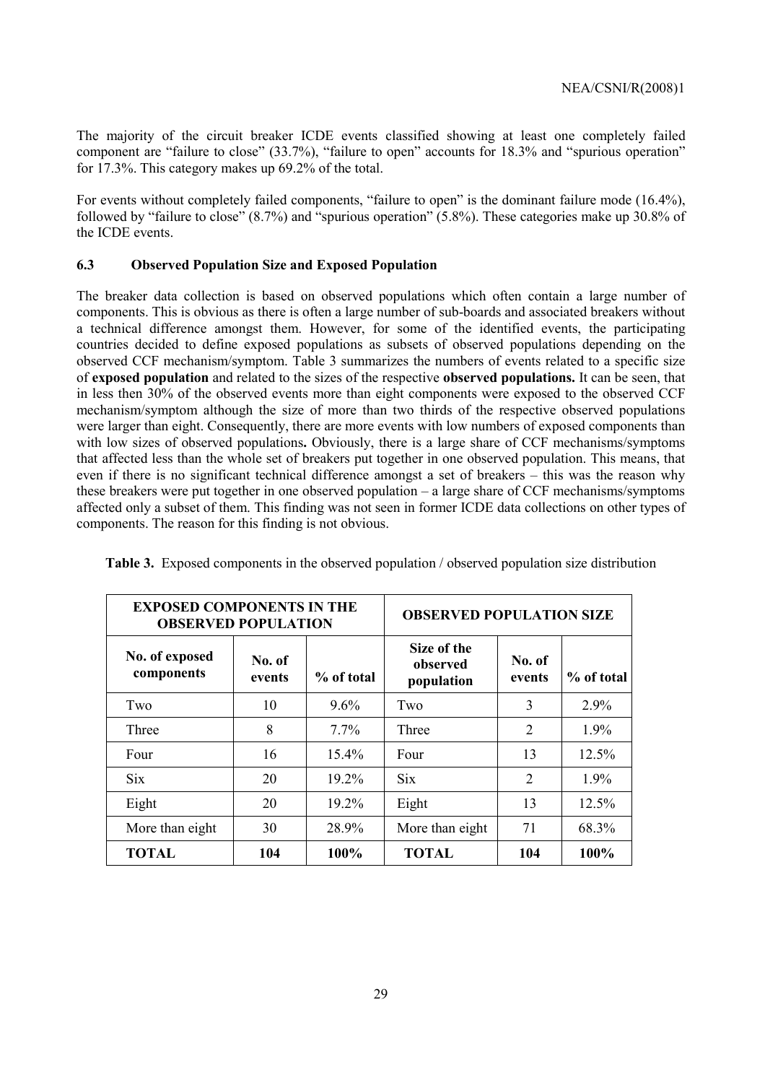The majority of the circuit breaker ICDE events classified showing at least one completely failed component are "failure to close"  $(33.7%)$ , "failure to open" accounts for 18.3% and "spurious operation" for 17.3%. This category makes up 69.2% of the total.

For events without completely failed components, "failure to open" is the dominant failure mode (16.4%), followed by "failure to close"  $(8.7\%)$  and "spurious operation"  $(5.8\%)$ . These categories make up 30.8% of the ICDE events.

#### **6.3 Observed Population Size and Exposed Population**

The breaker data collection is based on observed populations which often contain a large number of components. This is obvious as there is often a large number of sub-boards and associated breakers without a technical difference amongst them. However, for some of the identified events, the participating countries decided to define exposed populations as subsets of observed populations depending on the observed CCF mechanism/symptom. Table 3 summarizes the numbers of events related to a specific size of **exposed population** and related to the sizes of the respective **observed populations.** It can be seen, that in less then 30% of the observed events more than eight components were exposed to the observed CCF mechanism/symptom although the size of more than two thirds of the respective observed populations were larger than eight. Consequently, there are more events with low numbers of exposed components than with low sizes of observed populations. Obviously, there is a large share of CCF mechanisms/symptoms that affected less than the whole set of breakers put together in one observed population. This means, that even if there is no significant technical difference amongst a set of breakers – this was the reason why these breakers were put together in one observed population  $-$  a large share of CCF mechanisms/symptoms affected only a subset of them. This finding was not seen in former ICDE data collections on other types of components. The reason for this finding is not obvious.

| <b>EXPOSED COMPONENTS IN THE</b><br><b>OBSERVED POPULATION</b> | <b>OBSERVED POPULATION SIZE</b> |            |                                       |                  |            |
|----------------------------------------------------------------|---------------------------------|------------|---------------------------------------|------------------|------------|
| No. of exposed<br>components                                   | No. of<br>events                | % of total | Size of the<br>observed<br>population | No. of<br>events | % of total |
| Two                                                            | 10                              | $9.6\%$    | Two                                   | 3                | 2.9%       |
| Three                                                          | 8                               | 7.7%       | Three                                 | 2                | 1.9%       |
| Four                                                           | 16                              | $15.4\%$   | Four                                  | 13               | 12.5%      |
| <b>Six</b>                                                     | 20                              | 19.2%      | <b>Six</b>                            | 2                | 1.9%       |
| Eight                                                          | 20                              | $19.2\%$   | Eight                                 | 13               | 12.5%      |
| More than eight                                                | 30                              | 28.9%      | More than eight                       | 71               | 68.3%      |
| <b>TOTAL</b>                                                   | 104                             | 100%       | <b>TOTAL</b>                          | 104              | 100%       |

**Table 3.** Exposed components in the observed population / observed population size distribution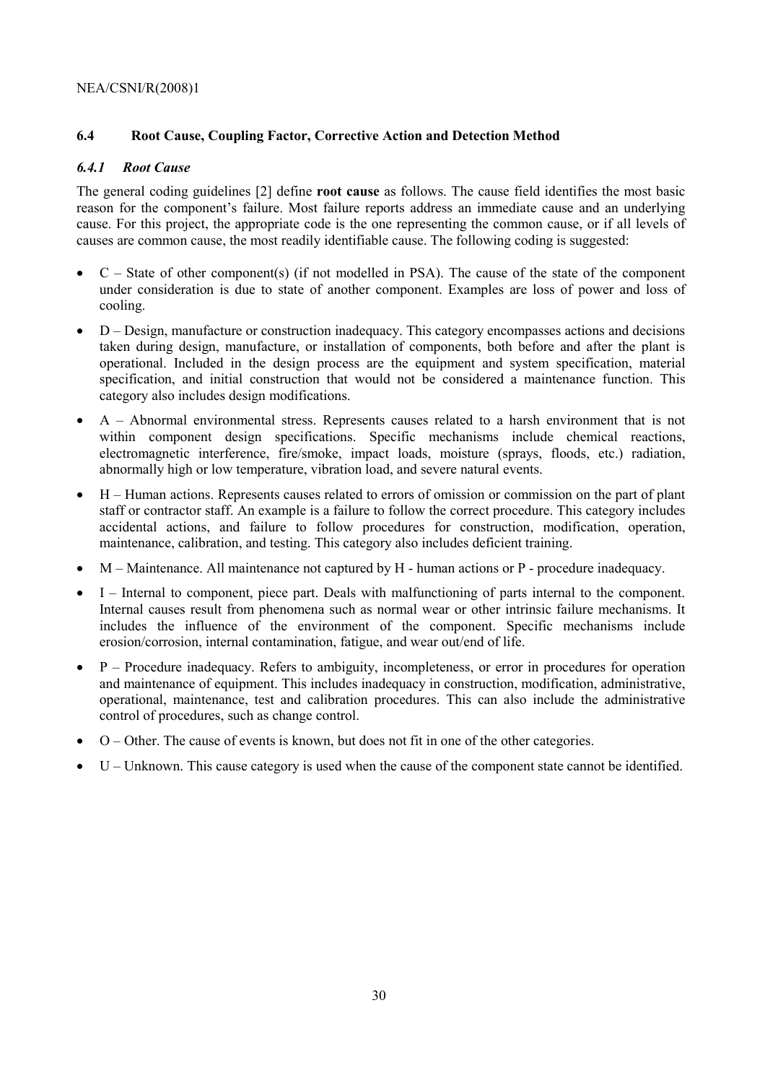### **6.4 Root Cause, Coupling Factor, Corrective Action and Detection Method**

#### *6.4.1 Root Cause*

The general coding guidelines [2] define **root cause** as follows. The cause field identifies the most basic reason for the component's failure. Most failure reports address an immediate cause and an underlying cause. For this project, the appropriate code is the one representing the common cause, or if all levels of causes are common cause, the most readily identifiable cause. The following coding is suggested:

- $C State$  of other component(s) (if not modelled in PSA). The cause of the state of the component under consideration is due to state of another component. Examples are loss of power and loss of cooling.
- $\bullet$  D Design, manufacture or construction inadequacy. This category encompasses actions and decisions taken during design, manufacture, or installation of components, both before and after the plant is operational. Included in the design process are the equipment and system specification, material specification, and initial construction that would not be considered a maintenance function. This category also includes design modifications.
- $\bullet$  A Abnormal environmental stress. Represents causes related to a harsh environment that is not within component design specifications. Specific mechanisms include chemical reactions, electromagnetic interference, fire/smoke, impact loads, moisture (sprays, floods, etc.) radiation, abnormally high or low temperature, vibration load, and severe natural events.
- $\bullet$  H Human actions. Represents causes related to errors of omission or commission on the part of plant staff or contractor staff. An example is a failure to follow the correct procedure. This category includes accidental actions, and failure to follow procedures for construction, modification, operation, maintenance, calibration, and testing. This category also includes deficient training.
- $M -$ Maintenance. All maintenance not captured by H human actions or P procedure inadequacy.
- I Internal to component, piece part. Deals with malfunctioning of parts internal to the component. Internal causes result from phenomena such as normal wear or other intrinsic failure mechanisms. It includes the influence of the environment of the component. Specific mechanisms include erosion/corrosion, internal contamination, fatigue, and wear out/end of life.
- $\bullet$  P Procedure inadequacy. Refers to ambiguity, incompleteness, or error in procedures for operation and maintenance of equipment. This includes inadequacy in construction, modification, administrative, operational, maintenance, test and calibration procedures. This can also include the administrative control of procedures, such as change control.
- $\bullet$  O Other. The cause of events is known, but does not fit in one of the other categories.
- U Unknown. This cause category is used when the cause of the component state cannot be identified.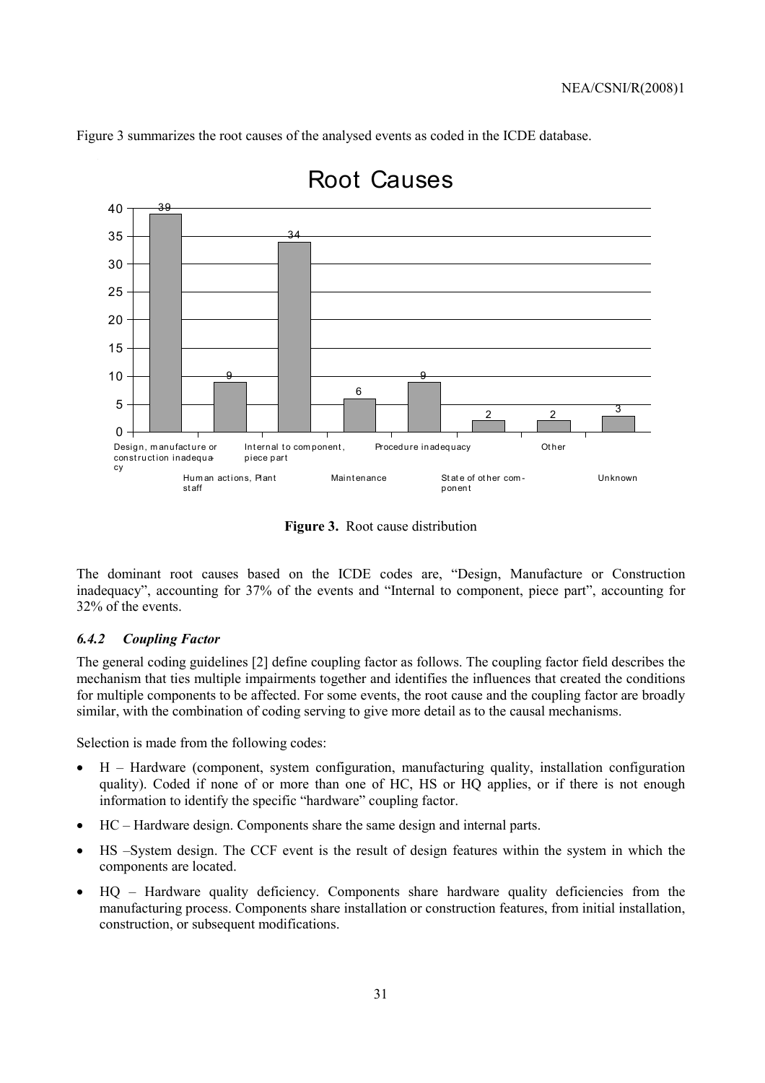Figure 3 summarizes the root causes of the analysed events as coded in the ICDE database.



# Root Causes

**Figure 3.** Root cause distribution

The dominant root causes based on the ICDE codes are, "Design, Manufacture or Construction inadequacy", accounting for 37% of the events and "Internal to component, piece part", accounting for 32% of the events.

#### *6.4.2 Coupling Factor*

The general coding guidelines [2] define coupling factor as follows. The coupling factor field describes the mechanism that ties multiple impairments together and identifies the influences that created the conditions for multiple components to be affected. For some events, the root cause and the coupling factor are broadly similar, with the combination of coding serving to give more detail as to the causal mechanisms.

Selection is made from the following codes:

- $\bullet$  H Hardware (component, system configuration, manufacturing quality, installation configuration quality). Coded if none of or more than one of HC, HS or HQ applies, or if there is not enough information to identify the specific "hardware" coupling factor.
- $\bullet$  HC Hardware design. Components share the same design and internal parts.
- HS –System design. The CCF event is the result of design features within the system in which the components are located.
- HQ Hardware quality deficiency. Components share hardware quality deficiencies from the manufacturing process. Components share installation or construction features, from initial installation, construction, or subsequent modifications.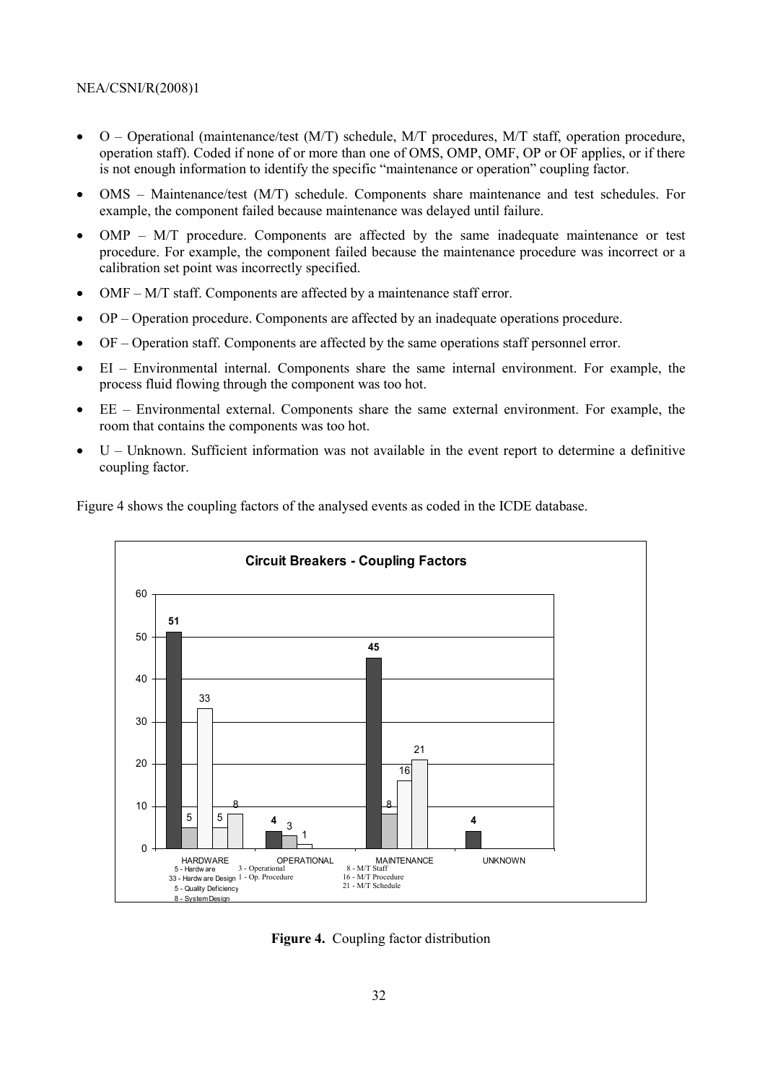- $O -$  Operational (maintenance/test (M/T) schedule, M/T procedures, M/T staff, operation procedure, operation staff). Coded if none of or more than one of OMS, OMP, OMF, OP or OF applies, or if there is not enough information to identify the specific "maintenance or operation" coupling factor.
- $OMS Maintenance/test (M/T) schedule. Components share maintenance and test schedules. For$ example, the component failed because maintenance was delayed until failure.
- OMP  $-$  M/T procedure. Components are affected by the same inadequate maintenance or test procedure. For example, the component failed because the maintenance procedure was incorrect or a calibration set point was incorrectly specified.
- OMF  $M/T$  staff. Components are affected by a maintenance staff error.
- OP Operation procedure. Components are affected by an inadequate operations procedure.
- OF Operation staff. Components are affected by the same operations staff personnel error.
- EI Environmental internal. Components share the same internal environment. For example, the process fluid flowing through the component was too hot.
- $\bullet$  EE Environmental external. Components share the same external environment. For example, the room that contains the components was too hot.
- $U -$  Unknown. Sufficient information was not available in the event report to determine a definitive coupling factor.

Figure 4 shows the coupling factors of the analysed events as coded in the ICDE database.



**Figure 4.** Coupling factor distribution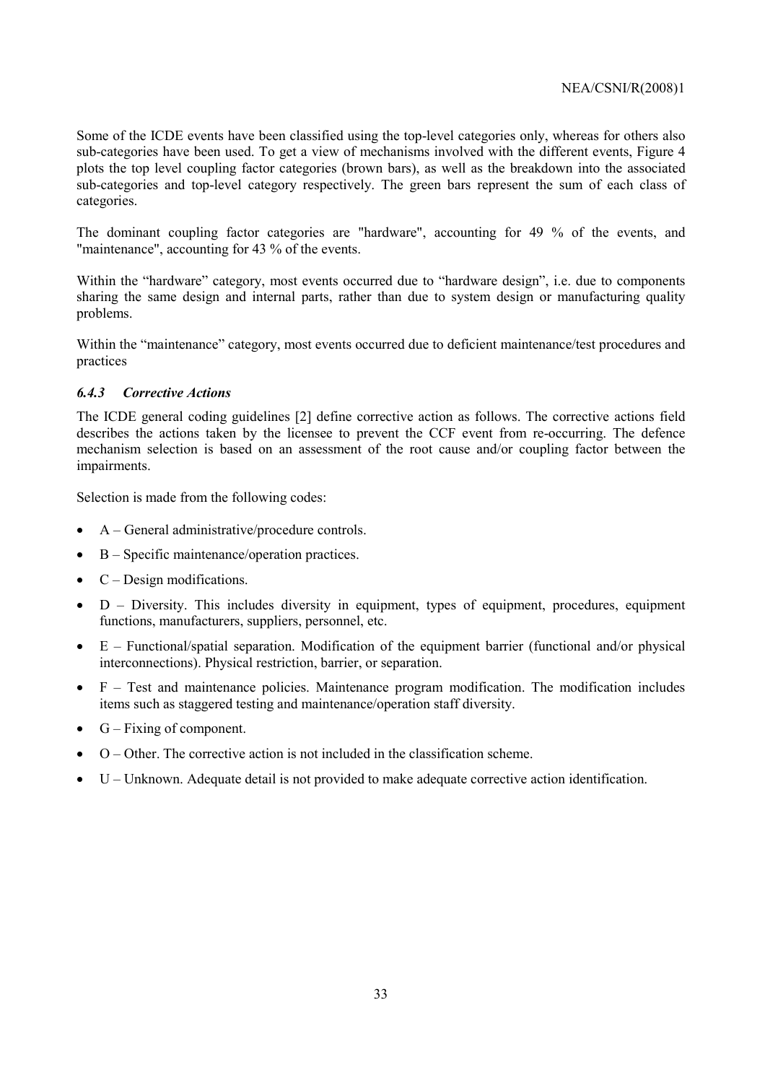Some of the ICDE events have been classified using the top-level categories only, whereas for others also sub-categories have been used. To get a view of mechanisms involved with the different events, Figure 4 plots the top level coupling factor categories (brown bars), as well as the breakdown into the associated sub-categories and top-level category respectively. The green bars represent the sum of each class of categories.

The dominant coupling factor categories are "hardware", accounting for 49 % of the events, and "maintenance", accounting for 43 % of the events.

Within the "hardware" category, most events occurred due to "hardware design", i.e. due to components sharing the same design and internal parts, rather than due to system design or manufacturing quality problems.

Within the "maintenance" category, most events occurred due to deficient maintenance/test procedures and practices

#### *6.4.3 Corrective Actions*

The ICDE general coding guidelines [2] define corrective action as follows. The corrective actions field describes the actions taken by the licensee to prevent the CCF event from re-occurring. The defence mechanism selection is based on an assessment of the root cause and/or coupling factor between the impairments.

Selection is made from the following codes:

- $A General administrative/procedure controls.$
- $\bullet$  B Specific maintenance/operation practices.
- $C Design modifications.$
- $D -$  Diversity. This includes diversity in equipment, types of equipment, procedures, equipment functions, manufacturers, suppliers, personnel, etc.
- $\bullet$  E Functional/spatial separation. Modification of the equipment barrier (functional and/or physical interconnections). Physical restriction, barrier, or separation.
- $\bullet$  F  $-$  Test and maintenance policies. Maintenance program modification. The modification includes items such as staggered testing and maintenance/operation staff diversity.
- $G Fixing of component.$
- $\bullet$  O Other. The corrective action is not included in the classification scheme.
- $\bullet$  U Unknown. Adequate detail is not provided to make adequate corrective action identification.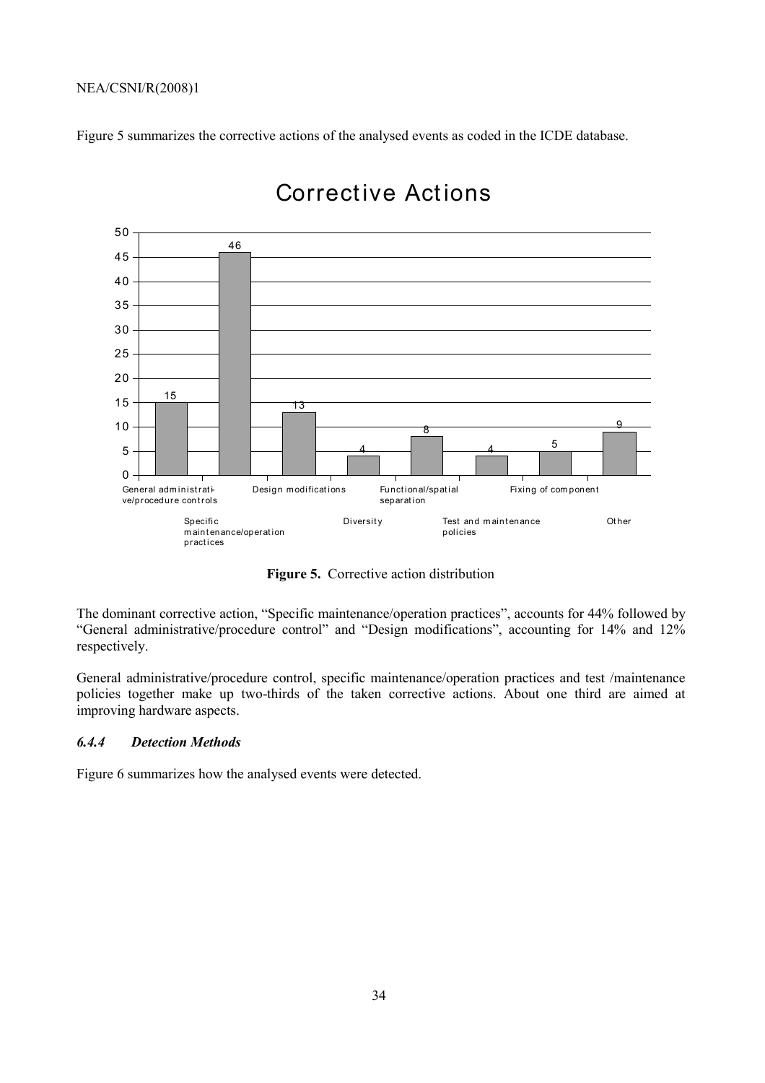Figure 5 summarizes the corrective actions of the analysed events as coded in the ICDE database.



# Corrective Act ions

**Figure 5.** Corrective action distribution

The dominant corrective action, "Specific maintenance/operation practices", accounts for 44% followed by "General administrative/procedure control" and "Design modifications", accounting for 14% and 12% respectively.

General administrative/procedure control, specific maintenance/operation practices and test /maintenance policies together make up two-thirds of the taken corrective actions. About one third are aimed at improving hardware aspects.

#### *6.4.4 Detection Methods*

Figure 6 summarizes how the analysed events were detected.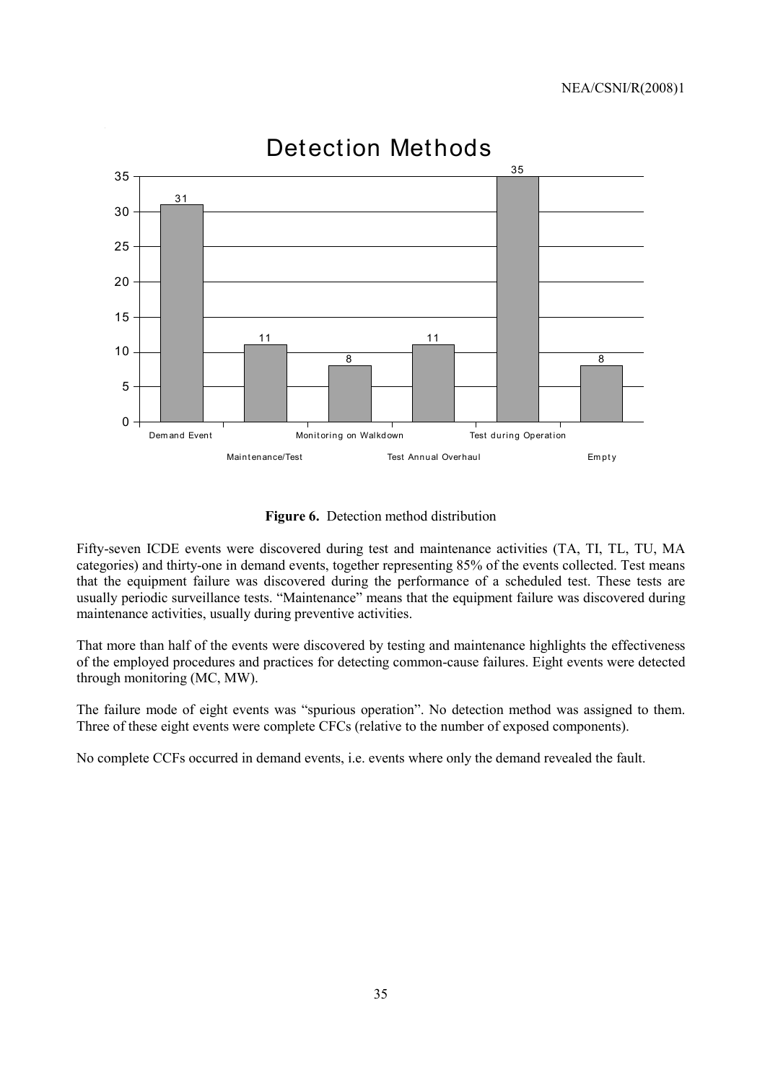

# Detection Methods

**Figure 6.** Detection method distribution

Fifty-seven ICDE events were discovered during test and maintenance activities (TA, TI, TL, TU, MA categories) and thirty-one in demand events, together representing 85% of the events collected. Test means that the equipment failure was discovered during the performance of a scheduled test. These tests are usually periodic surveillance tests. "Maintenance" means that the equipment failure was discovered during maintenance activities, usually during preventive activities.

That more than half of the events were discovered by testing and maintenance highlights the effectiveness of the employed procedures and practices for detecting common-cause failures. Eight events were detected through monitoring (MC, MW).

The failure mode of eight events was "spurious operation". No detection method was assigned to them. Three of these eight events were complete CFCs (relative to the number of exposed components).

No complete CCFs occurred in demand events, i.e. events where only the demand revealed the fault.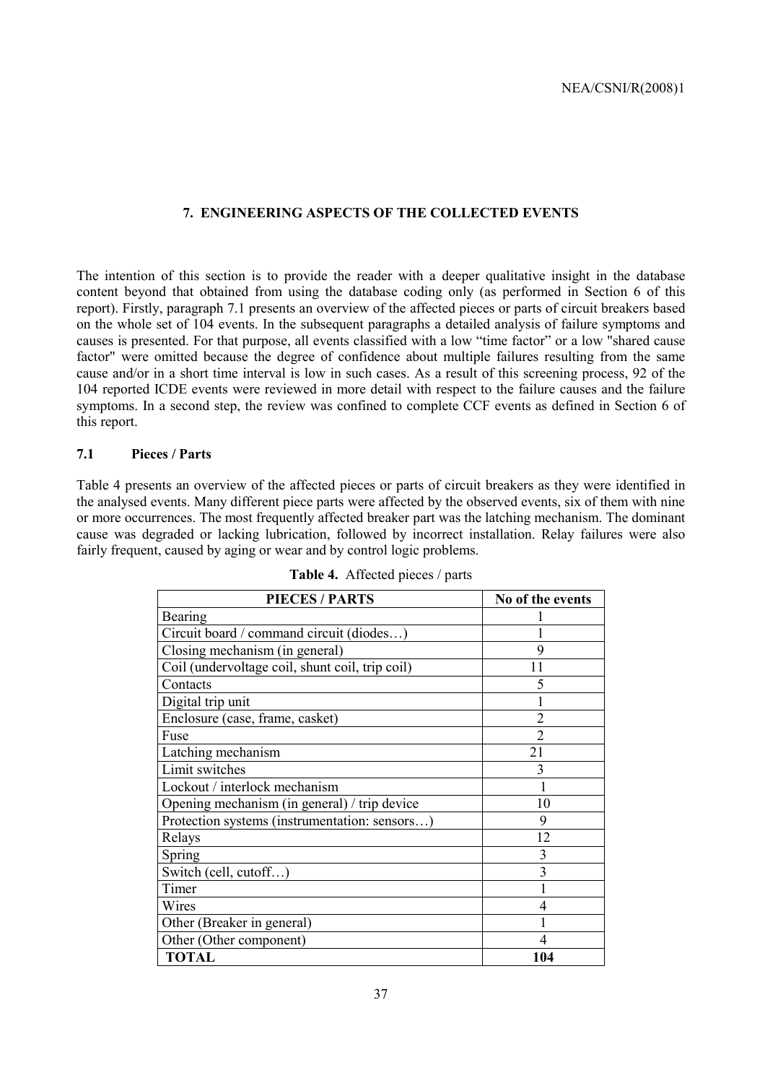### **7. ENGINEERING ASPECTS OF THE COLLECTED EVENTS**

The intention of this section is to provide the reader with a deeper qualitative insight in the database content beyond that obtained from using the database coding only (as performed in Section 6 of this report). Firstly, paragraph 7.1 presents an overview of the affected pieces or parts of circuit breakers based on the whole set of 104 events. In the subsequent paragraphs a detailed analysis of failure symptoms and causes is presented. For that purpose, all events classified with a low "time factor" or a low "shared cause factor" were omitted because the degree of confidence about multiple failures resulting from the same cause and/or in a short time interval is low in such cases. As a result of this screening process, 92 of the 104 reported ICDE events were reviewed in more detail with respect to the failure causes and the failure symptoms. In a second step, the review was confined to complete CCF events as defined in Section 6 of this report.

#### **7.1 Pieces / Parts**

Table 4 presents an overview of the affected pieces or parts of circuit breakers as they were identified in the analysed events. Many different piece parts were affected by the observed events, six of them with nine or more occurrences. The most frequently affected breaker part was the latching mechanism. The dominant cause was degraded or lacking lubrication, followed by incorrect installation. Relay failures were also fairly frequent, caused by aging or wear and by control logic problems.

| <b>PIECES / PARTS</b>                           | No of the events |
|-------------------------------------------------|------------------|
| Bearing                                         |                  |
| Circuit board / command circuit (diodes)        |                  |
| Closing mechanism (in general)                  | 9                |
| Coil (undervoltage coil, shunt coil, trip coil) | 11               |
| Contacts                                        | 5                |
| Digital trip unit                               |                  |
| Enclosure (case, frame, casket)                 | 2                |
| Fuse                                            | $\overline{2}$   |
| Latching mechanism                              | 21               |
| Limit switches                                  | 3                |
| Lockout / interlock mechanism                   |                  |
| Opening mechanism (in general) / trip device    | 10               |
| Protection systems (instrumentation: sensors)   | 9                |
| Relays                                          | 12               |
| Spring                                          | 3                |
| Switch (cell, cutoff)                           | $\overline{3}$   |
| Timer                                           |                  |
| Wires                                           | 4                |
| Other (Breaker in general)                      |                  |
| Other (Other component)                         | 4                |
| <b>TOTAL</b>                                    | 104              |

|  | Table 4. Affected pieces / parts |  |  |
|--|----------------------------------|--|--|
|--|----------------------------------|--|--|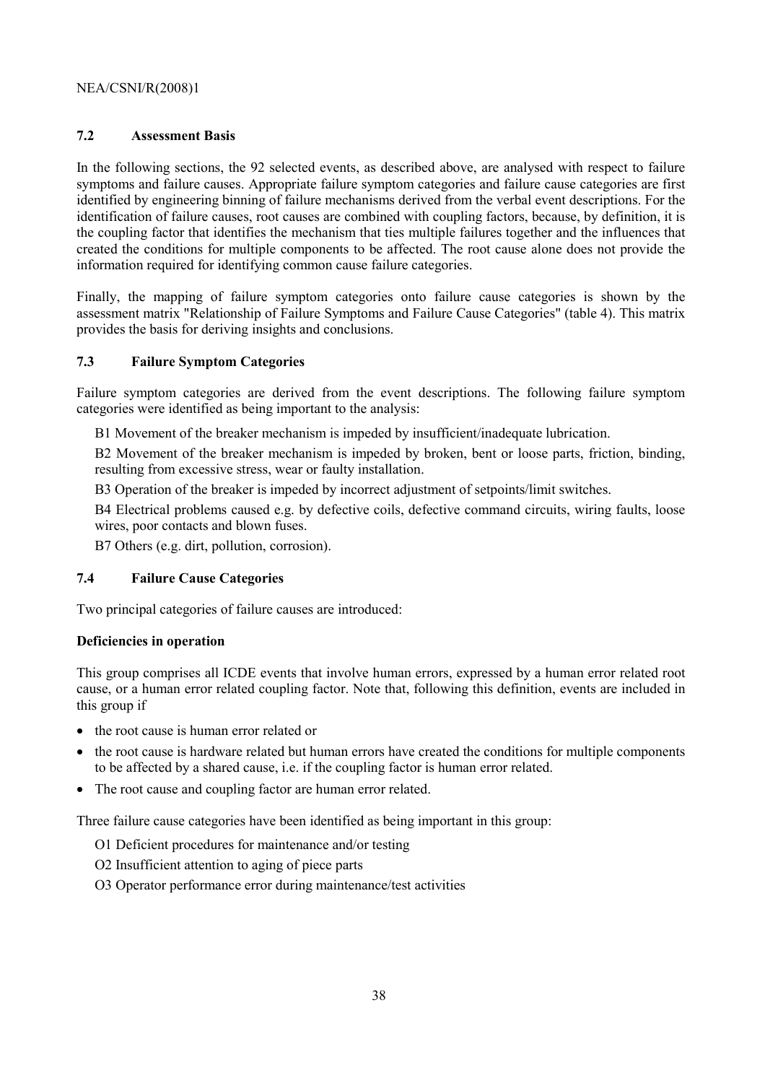#### **7.2 Assessment Basis**

In the following sections, the 92 selected events, as described above, are analysed with respect to failure symptoms and failure causes. Appropriate failure symptom categories and failure cause categories are first identified by engineering binning of failure mechanisms derived from the verbal event descriptions. For the identification of failure causes, root causes are combined with coupling factors, because, by definition, it is the coupling factor that identifies the mechanism that ties multiple failures together and the influences that created the conditions for multiple components to be affected. The root cause alone does not provide the information required for identifying common cause failure categories.

Finally, the mapping of failure symptom categories onto failure cause categories is shown by the assessment matrix "Relationship of Failure Symptoms and Failure Cause Categories" (table 4). This matrix provides the basis for deriving insights and conclusions.

#### **7.3 Failure Symptom Categories**

Failure symptom categories are derived from the event descriptions. The following failure symptom categories were identified as being important to the analysis:

B1 Movement of the breaker mechanism is impeded by insufficient/inadequate lubrication.

B2 Movement of the breaker mechanism is impeded by broken, bent or loose parts, friction, binding, resulting from excessive stress, wear or faulty installation.

B3 Operation of the breaker is impeded by incorrect adjustment of setpoints/limit switches.

B4 Electrical problems caused e.g. by defective coils, defective command circuits, wiring faults, loose wires, poor contacts and blown fuses.

B7 Others (e.g. dirt, pollution, corrosion).

#### **7.4 Failure Cause Categories**

Two principal categories of failure causes are introduced:

#### **Deficiencies in operation**

This group comprises all ICDE events that involve human errors, expressed by a human error related root cause, or a human error related coupling factor. Note that, following this definition, events are included in this group if

- the root cause is human error related or
- the root cause is hardware related but human errors have created the conditions for multiple components to be affected by a shared cause, i.e. if the coupling factor is human error related.
- The root cause and coupling factor are human error related.

Three failure cause categories have been identified as being important in this group:

- O1 Deficient procedures for maintenance and/or testing
- O2 Insufficient attention to aging of piece parts
- O3 Operator performance error during maintenance/test activities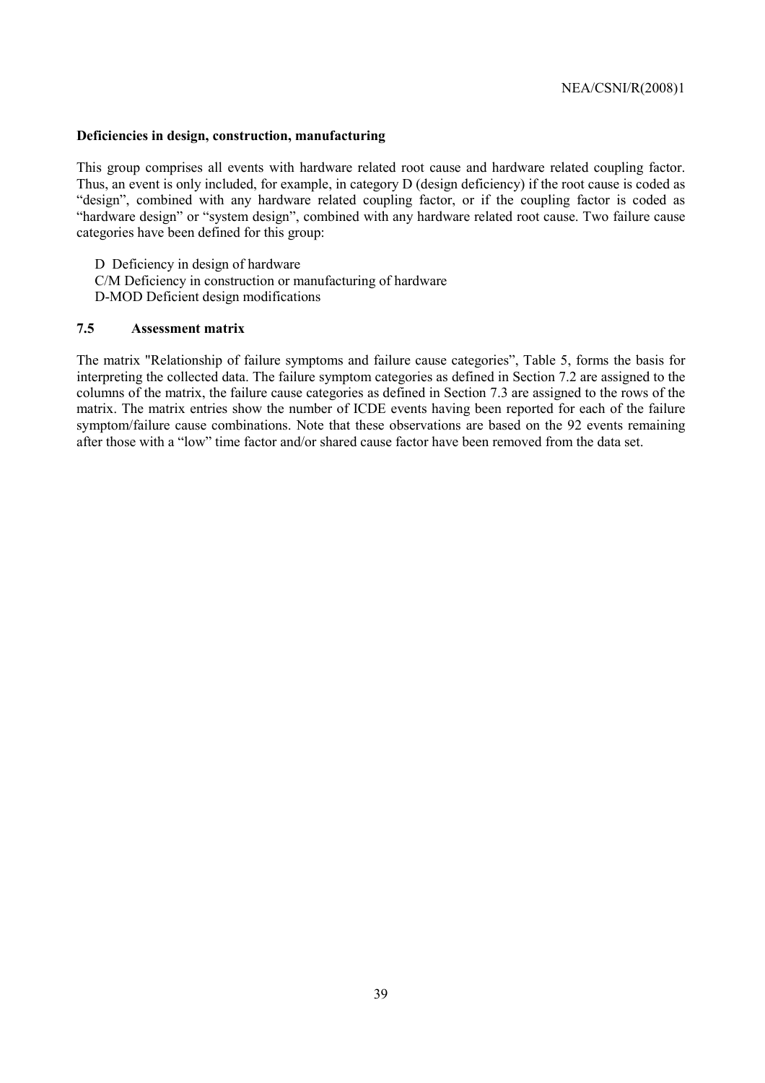#### **Deficiencies in design, construction, manufacturing**

This group comprises all events with hardware related root cause and hardware related coupling factor. Thus, an event is only included, for example, in category D (design deficiency) if the root cause is coded as "design", combined with any hardware related coupling factor, or if the coupling factor is coded as "hardware design" or "system design", combined with any hardware related root cause. Two failure cause categories have been defined for this group:

D Deficiency in design of hardware C/M Deficiency in construction or manufacturing of hardware D-MOD Deficient design modifications

#### **7.5 Assessment matrix**

The matrix "Relationship of failure symptoms and failure cause categories", Table 5, forms the basis for interpreting the collected data. The failure symptom categories as defined in Section 7.2 are assigned to the columns of the matrix, the failure cause categories as defined in Section 7.3 are assigned to the rows of the matrix. The matrix entries show the number of ICDE events having been reported for each of the failure symptom/failure cause combinations. Note that these observations are based on the 92 events remaining after those with a "low" time factor and/or shared cause factor have been removed from the data set.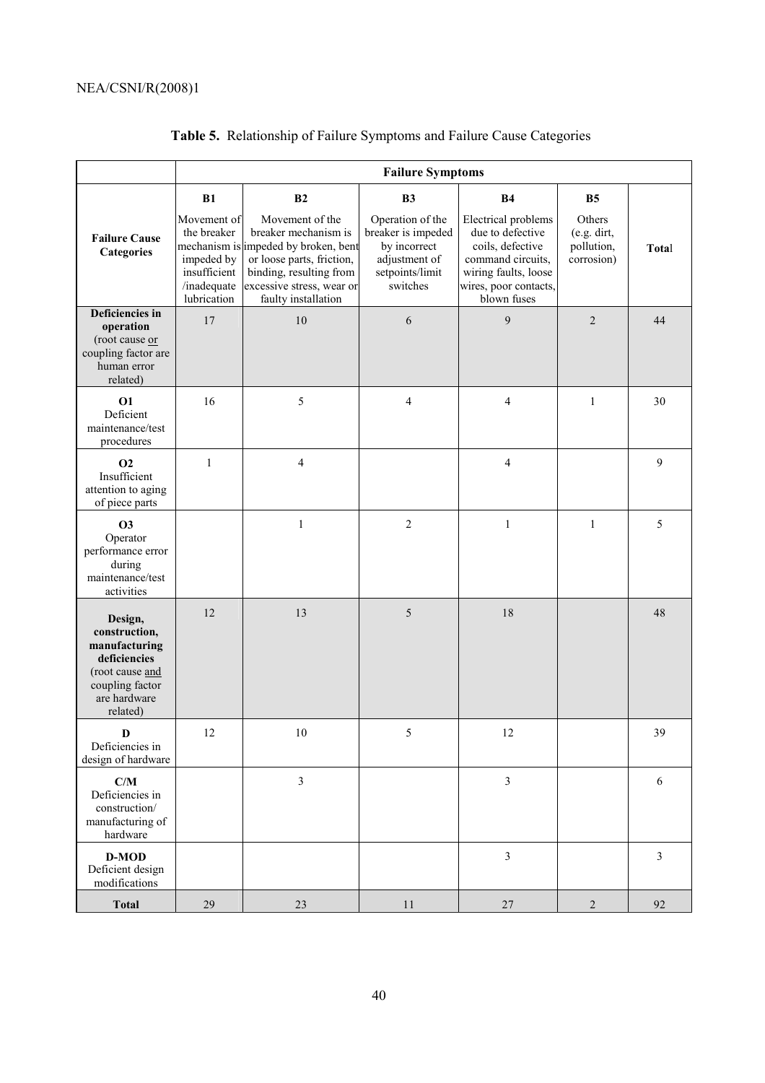|                                                                                                                             | <b>Failure Symptoms</b>                                                                                |                                                                                                                                                                                |                                                                                                        |                                                                                                                                                  |                                                            |                |  |  |
|-----------------------------------------------------------------------------------------------------------------------------|--------------------------------------------------------------------------------------------------------|--------------------------------------------------------------------------------------------------------------------------------------------------------------------------------|--------------------------------------------------------------------------------------------------------|--------------------------------------------------------------------------------------------------------------------------------------------------|------------------------------------------------------------|----------------|--|--|
|                                                                                                                             | B1                                                                                                     | B2                                                                                                                                                                             | B <sub>3</sub>                                                                                         | <b>B4</b>                                                                                                                                        | B <sub>5</sub>                                             |                |  |  |
| <b>Failure Cause</b><br><b>Categories</b>                                                                                   | Movement of<br>the breaker<br>mechanism is<br>impeded by<br>insufficient<br>/inadequate<br>lubrication | Movement of the<br>breaker mechanism is<br>impeded by broken, bent<br>or loose parts, friction,<br>binding, resulting from<br>excessive stress, wear or<br>faulty installation | Operation of the<br>breaker is impeded<br>by incorrect<br>adjustment of<br>setpoints/limit<br>switches | Electrical problems<br>due to defective<br>coils, defective<br>command circuits,<br>wiring faults, loose<br>wires, poor contacts,<br>blown fuses | <b>Others</b><br>$(e.g.$ dirt,<br>pollution,<br>corrosion) | Total          |  |  |
| Deficiencies in<br>operation<br>(root cause or<br>coupling factor are<br>human error<br>related)                            | 17                                                                                                     | 10                                                                                                                                                                             | 6                                                                                                      | 9                                                                                                                                                | $\overline{2}$                                             | 44             |  |  |
| <b>O1</b><br>Deficient<br>maintenance/test<br>procedures                                                                    | 16                                                                                                     | 5                                                                                                                                                                              | 4                                                                                                      | 4                                                                                                                                                | $\mathbf{1}$                                               | 30             |  |  |
| <b>O2</b><br>Insufficient<br>attention to aging<br>of piece parts                                                           | $\mathbf{1}$                                                                                           | $\overline{\mathcal{L}}$                                                                                                                                                       |                                                                                                        | $\overline{\mathcal{L}}$                                                                                                                         |                                                            | 9              |  |  |
| <b>O3</b><br>Operator<br>performance error<br>during<br>maintenance/test<br>activities                                      |                                                                                                        | $\mathbf{1}$                                                                                                                                                                   | $\overline{c}$                                                                                         | $\mathbf{1}$                                                                                                                                     | $\mathbf{1}$                                               | 5              |  |  |
| Design,<br>construction,<br>manufacturing<br>deficiencies<br>(root cause and<br>coupling factor<br>are hardware<br>related) | 12                                                                                                     | 13                                                                                                                                                                             | 5                                                                                                      | 18                                                                                                                                               |                                                            | 48             |  |  |
| D<br>Deficiencies in<br>design of hardware                                                                                  | 12                                                                                                     | $10\,$                                                                                                                                                                         | 5                                                                                                      | 12                                                                                                                                               |                                                            | 39             |  |  |
| C/M<br>Deficiencies in<br>construction/<br>manufacturing of<br>hardware                                                     |                                                                                                        | $\mathfrak{Z}$                                                                                                                                                                 |                                                                                                        | $\mathfrak{Z}$                                                                                                                                   |                                                            | 6              |  |  |
| D-MOD<br>Deficient design<br>modifications                                                                                  |                                                                                                        |                                                                                                                                                                                |                                                                                                        | $\mathfrak{Z}$                                                                                                                                   |                                                            | $\overline{3}$ |  |  |
| <b>Total</b>                                                                                                                | 29                                                                                                     | 23                                                                                                                                                                             | 11                                                                                                     | $27\,$                                                                                                                                           | $\overline{2}$                                             | 92             |  |  |

# **Table 5.** Relationship of Failure Symptoms and Failure Cause Categories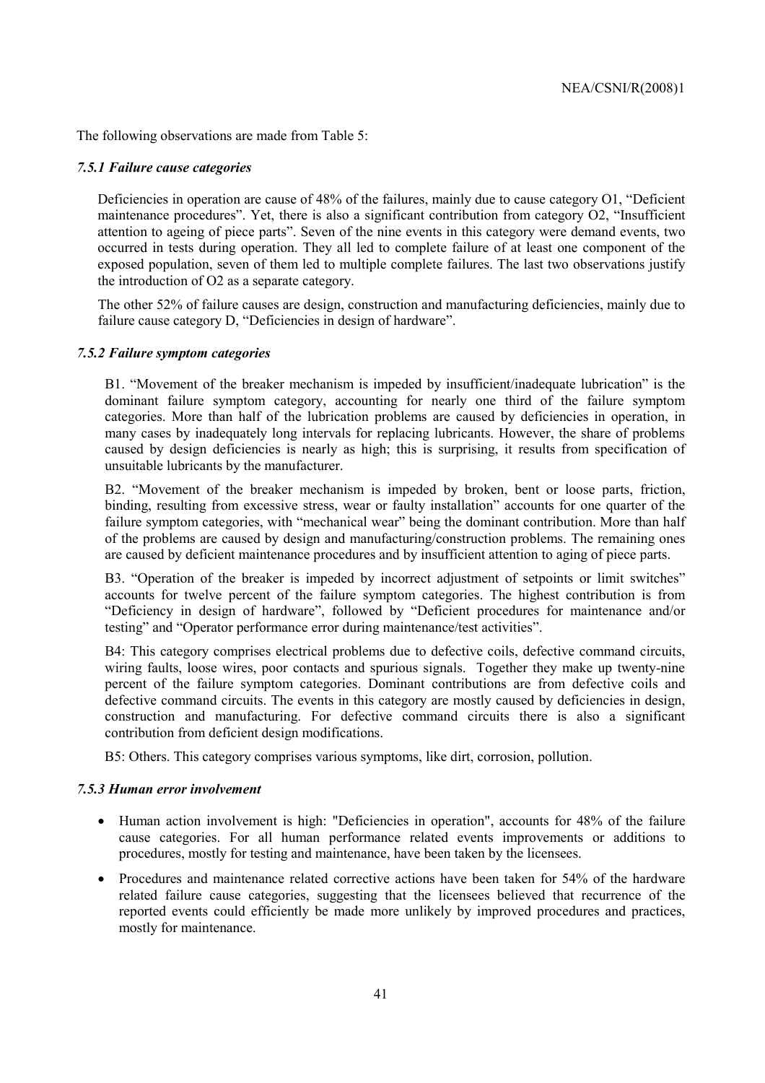The following observations are made from Table 5:

#### *7.5.1 Failure cause categories*

Deficiencies in operation are cause of 48% of the failures, mainly due to cause category  $O1$ , "Deficient maintenance procedures". Yet, there is also a significant contribution from category O2, "Insufficient attention to ageing of piece parts". Seven of the nine events in this category were demand events, two occurred in tests during operation. They all led to complete failure of at least one component of the exposed population, seven of them led to multiple complete failures. The last two observations justify the introduction of O2 as a separate category.

The other 52% of failure causes are design, construction and manufacturing deficiencies, mainly due to failure cause category D, "Deficiencies in design of hardware".

#### *7.5.2 Failure symptom categories*

B1. "Movement of the breaker mechanism is impeded by insufficient/inadequate lubrication" is the dominant failure symptom category, accounting for nearly one third of the failure symptom categories. More than half of the lubrication problems are caused by deficiencies in operation, in many cases by inadequately long intervals for replacing lubricants. However, the share of problems caused by design deficiencies is nearly as high; this is surprising, it results from specification of unsuitable lubricants by the manufacturer.

B2. "Movement of the breaker mechanism is impeded by broken, bent or loose parts, friction, binding, resulting from excessive stress, wear or faulty installation" accounts for one quarter of the failure symptom categories, with "mechanical wear" being the dominant contribution. More than half of the problems are caused by design and manufacturing/construction problems. The remaining ones are caused by deficient maintenance procedures and by insufficient attention to aging of piece parts.

B3. "Operation of the breaker is impeded by incorrect adjustment of setpoints or limit switches" accounts for twelve percent of the failure symptom categories. The highest contribution is from "Deficiency in design of hardware", followed by "Deficient procedures for maintenance and/or testing" and "Operator performance error during maintenance/test activities".

B4: This category comprises electrical problems due to defective coils, defective command circuits, wiring faults, loose wires, poor contacts and spurious signals. Together they make up twenty-nine percent of the failure symptom categories. Dominant contributions are from defective coils and defective command circuits. The events in this category are mostly caused by deficiencies in design, construction and manufacturing. For defective command circuits there is also a significant contribution from deficient design modifications.

B5: Others. This category comprises various symptoms, like dirt, corrosion, pollution.

#### *7.5.3 Human error involvement*

- Human action involvement is high: "Deficiencies in operation", accounts for 48% of the failure cause categories. For all human performance related events improvements or additions to procedures, mostly for testing and maintenance, have been taken by the licensees.
- Procedures and maintenance related corrective actions have been taken for 54% of the hardware related failure cause categories, suggesting that the licensees believed that recurrence of the reported events could efficiently be made more unlikely by improved procedures and practices, mostly for maintenance.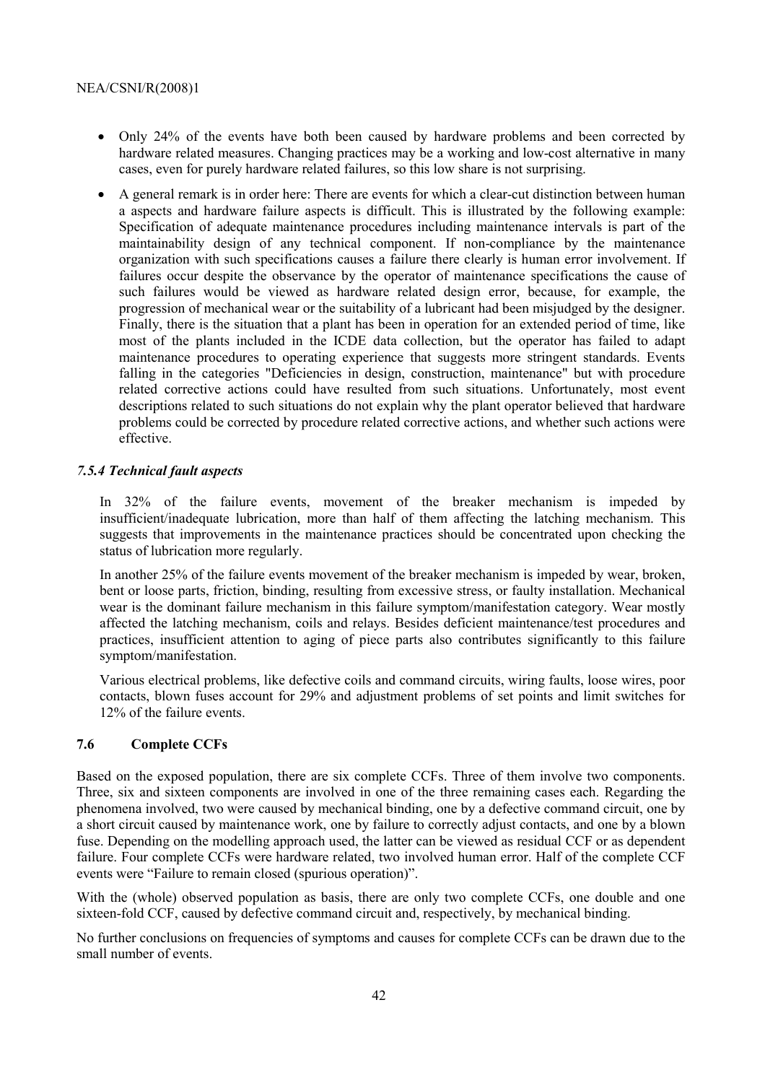- Only 24% of the events have both been caused by hardware problems and been corrected by hardware related measures. Changing practices may be a working and low-cost alternative in many cases, even for purely hardware related failures, so this low share is not surprising.
- A general remark is in order here: There are events for which a clear-cut distinction between human a aspects and hardware failure aspects is difficult. This is illustrated by the following example: Specification of adequate maintenance procedures including maintenance intervals is part of the maintainability design of any technical component. If non-compliance by the maintenance organization with such specifications causes a failure there clearly is human error involvement. If failures occur despite the observance by the operator of maintenance specifications the cause of such failures would be viewed as hardware related design error, because, for example, the progression of mechanical wear or the suitability of a lubricant had been misjudged by the designer. Finally, there is the situation that a plant has been in operation for an extended period of time, like most of the plants included in the ICDE data collection, but the operator has failed to adapt maintenance procedures to operating experience that suggests more stringent standards. Events falling in the categories "Deficiencies in design, construction, maintenance" but with procedure related corrective actions could have resulted from such situations. Unfortunately, most event descriptions related to such situations do not explain why the plant operator believed that hardware problems could be corrected by procedure related corrective actions, and whether such actions were effective.

#### *7.5.4 Technical fault aspects*

In 32% of the failure events, movement of the breaker mechanism is impeded by insufficient/inadequate lubrication, more than half of them affecting the latching mechanism. This suggests that improvements in the maintenance practices should be concentrated upon checking the status of lubrication more regularly.

In another 25% of the failure events movement of the breaker mechanism is impeded by wear, broken, bent or loose parts, friction, binding, resulting from excessive stress, or faulty installation. Mechanical wear is the dominant failure mechanism in this failure symptom/manifestation category. Wear mostly affected the latching mechanism, coils and relays. Besides deficient maintenance/test procedures and practices, insufficient attention to aging of piece parts also contributes significantly to this failure symptom/manifestation.

Various electrical problems, like defective coils and command circuits, wiring faults, loose wires, poor contacts, blown fuses account for 29% and adjustment problems of set points and limit switches for 12% of the failure events.

#### **7.6 Complete CCFs**

Based on the exposed population, there are six complete CCFs. Three of them involve two components. Three, six and sixteen components are involved in one of the three remaining cases each. Regarding the phenomena involved, two were caused by mechanical binding, one by a defective command circuit, one by a short circuit caused by maintenance work, one by failure to correctly adjust contacts, and one by a blown fuse. Depending on the modelling approach used, the latter can be viewed as residual CCF or as dependent failure. Four complete CCFs were hardware related, two involved human error. Half of the complete CCF events were "Failure to remain closed (spurious operation)".

With the (whole) observed population as basis, there are only two complete CCFs, one double and one sixteen-fold CCF, caused by defective command circuit and, respectively, by mechanical binding.

No further conclusions on frequencies of symptoms and causes for complete CCFs can be drawn due to the small number of events.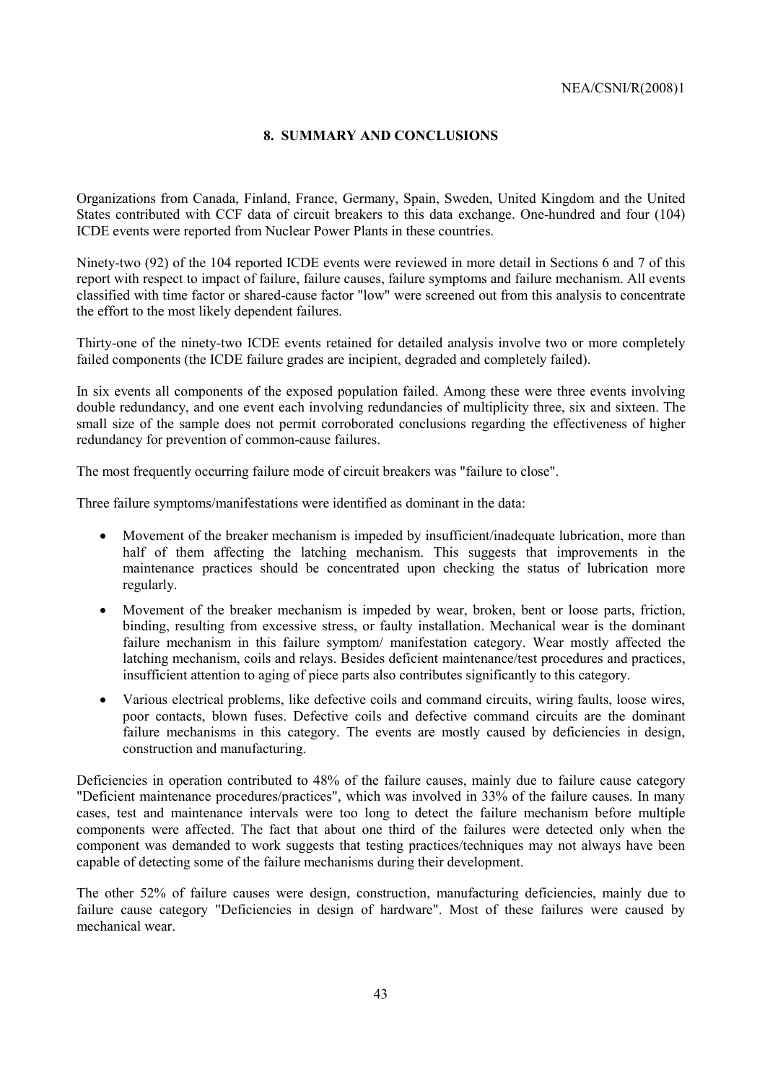#### **8. SUMMARY AND CONCLUSIONS**

Organizations from Canada, Finland, France, Germany, Spain, Sweden, United Kingdom and the United States contributed with CCF data of circuit breakers to this data exchange. One-hundred and four (104) ICDE events were reported from Nuclear Power Plants in these countries.

Ninety-two (92) of the 104 reported ICDE events were reviewed in more detail in Sections 6 and 7 of this report with respect to impact of failure, failure causes, failure symptoms and failure mechanism. All events classified with time factor or shared-cause factor "low" were screened out from this analysis to concentrate the effort to the most likely dependent failures.

Thirty-one of the ninety-two ICDE events retained for detailed analysis involve two or more completely failed components (the ICDE failure grades are incipient, degraded and completely failed).

In six events all components of the exposed population failed. Among these were three events involving double redundancy, and one event each involving redundancies of multiplicity three, six and sixteen. The small size of the sample does not permit corroborated conclusions regarding the effectiveness of higher redundancy for prevention of common-cause failures.

The most frequently occurring failure mode of circuit breakers was "failure to close".

Three failure symptoms/manifestations were identified as dominant in the data:

- Movement of the breaker mechanism is impeded by insufficient/inadequate lubrication, more than half of them affecting the latching mechanism. This suggests that improvements in the maintenance practices should be concentrated upon checking the status of lubrication more regularly.
- Movement of the breaker mechanism is impeded by wear, broken, bent or loose parts, friction, binding, resulting from excessive stress, or faulty installation. Mechanical wear is the dominant failure mechanism in this failure symptom/ manifestation category. Wear mostly affected the latching mechanism, coils and relays. Besides deficient maintenance/test procedures and practices, insufficient attention to aging of piece parts also contributes significantly to this category.
- Various electrical problems, like defective coils and command circuits, wiring faults, loose wires, poor contacts, blown fuses. Defective coils and defective command circuits are the dominant failure mechanisms in this category. The events are mostly caused by deficiencies in design, construction and manufacturing.

Deficiencies in operation contributed to 48% of the failure causes, mainly due to failure cause category "Deficient maintenance procedures/practices", which was involved in 33% of the failure causes. In many cases, test and maintenance intervals were too long to detect the failure mechanism before multiple components were affected. The fact that about one third of the failures were detected only when the component was demanded to work suggests that testing practices/techniques may not always have been capable of detecting some of the failure mechanisms during their development.

The other 52% of failure causes were design, construction, manufacturing deficiencies, mainly due to failure cause category "Deficiencies in design of hardware". Most of these failures were caused by mechanical wear.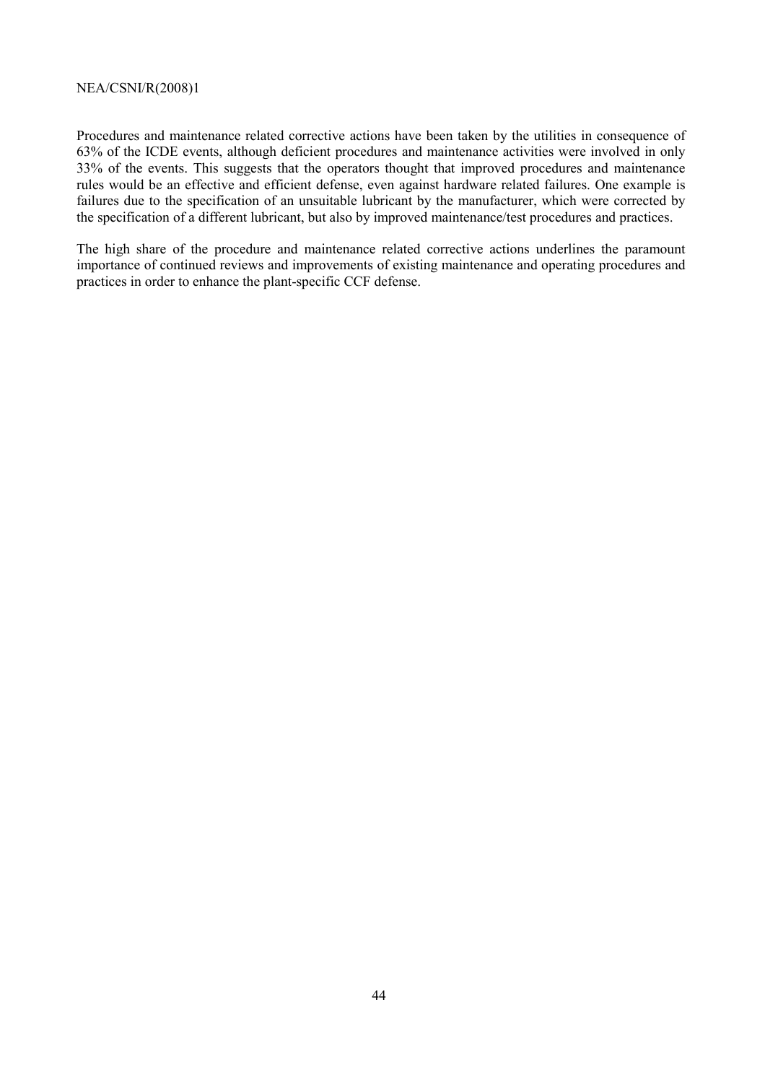Procedures and maintenance related corrective actions have been taken by the utilities in consequence of 63% of the ICDE events, although deficient procedures and maintenance activities were involved in only 33% of the events. This suggests that the operators thought that improved procedures and maintenance rules would be an effective and efficient defense, even against hardware related failures. One example is failures due to the specification of an unsuitable lubricant by the manufacturer, which were corrected by the specification of a different lubricant, but also by improved maintenance/test procedures and practices.

The high share of the procedure and maintenance related corrective actions underlines the paramount importance of continued reviews and improvements of existing maintenance and operating procedures and practices in order to enhance the plant-specific CCF defense.